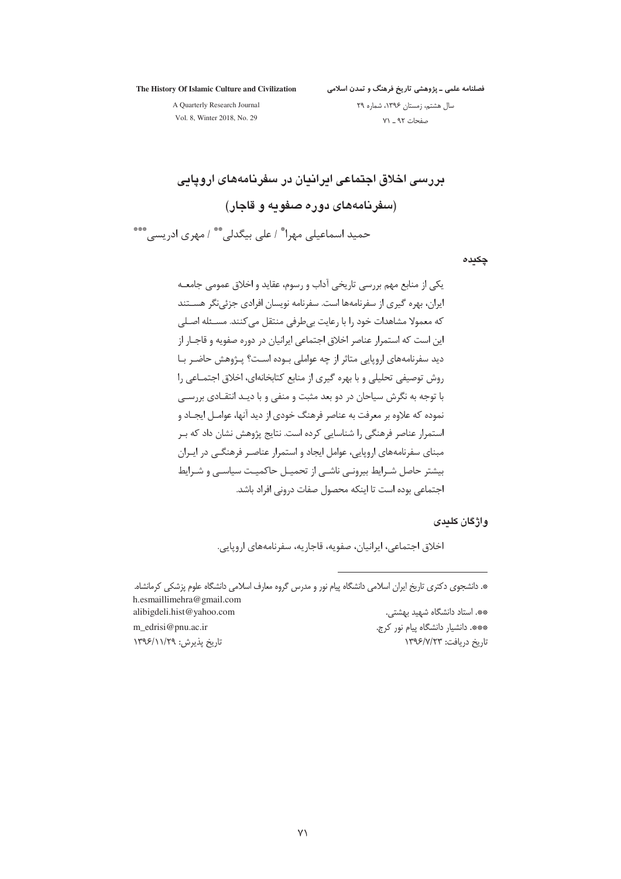The History Of Islamic Culture and Civilization

فصلنامه علمی ـ پژوهشی تاریخ فرهنگ و تمدن اسلامی

A Quarterly Research Journal

سال هشتم، زمستان ۱۳۹۶، شماره ۲۹ صفحات ۹۲ \_ ۷۱

Vol. 8, Winter 2018, No. 29

بررسی اخلاق اجتماعی ایرانیان در سفرنامههای اروپایی (سفرنامههای دوره صفویه و قاجار) حمید اسماعیلی مهرا\* / علی بیگدلی\*\* / مهری ادریسی\*\*\*

چکىدە

واژگان کلیدی

اخلاق اجتماعي، ايرانيان، صفويه، قاجاريه، سفرنامههاي اروپايي.

\*. دانشجوی دکتری تاریخ ایران اسلامی دانشگاه پیام نور و مدرس گروه معارف اسلامی دانشگاه علوم پزشکی کرمانشاه. h.esmaillimehra@gmail.com alibigdeli.hist@yahoo.com \*\*. استاد دانشگاه شهید بهشتی. m\_edrisi@pnu.ac.ir

تاریخ پذیرش: ۱۳۹۶/۱۱/۲۹

\*\*\*. دانشیار دانشگاه پیام نور کرج. تاريخ دريافت: ١٣٩۶/٧/٢٣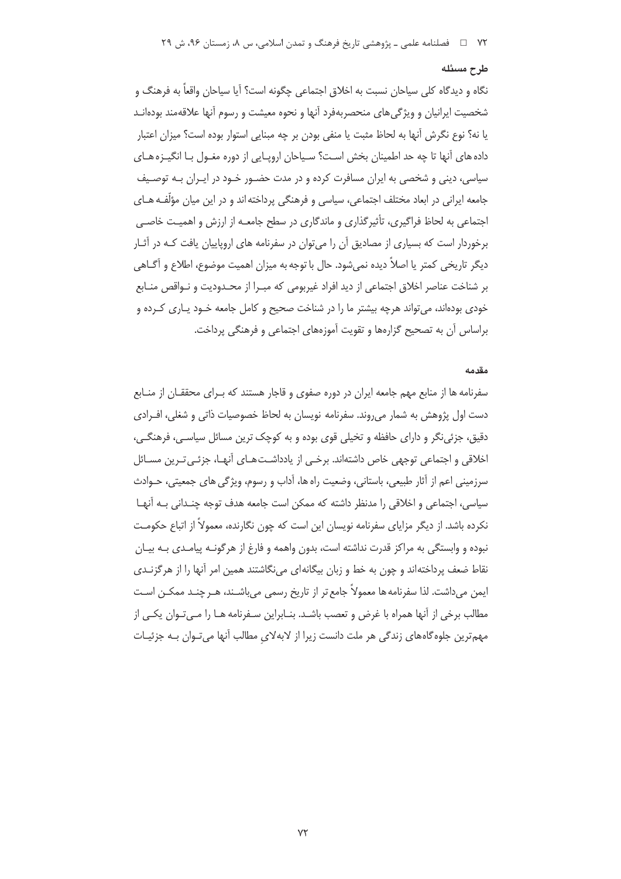#### طرح مسئله

نگاه و ديدگاه كلي سياحان نسبت به اخلاق اجتماعي چگونه است؟ آيا سياحان واقعاً به فرهنگ و شخصیت ایرانیان و ویژگی های منحصربهفرد آنها و نحوه معیشت و رسوم آنها علاقهمند بودهانـد يا نه؟ نوع نگرش آنها به لحاظ مثبت يا منفي بودن بر چه مبنايي استوار بوده است؟ ميزان اعتبار داده های آنها تا چه حد اطمینان بخش است؟ سیاحان اروپـایی از دوره مغـول بـا انگیـزه هـای سیاسی، دینی و شخصی به ایران مسافرت کرده و در مدت حضـور خـود در ایـران بـه توصـیف جامعه ایرانی در ابعاد مختلف اجتماعی، سیاسی و فرهنگی پرداخته اند و در این میان مؤلّف هـای اجتماعی به لحاظ فراگیری، تأثیرگذاری و ماندگاری در سطح جامعـه از ارزش و اهمیـت خاصـی برخوردار است که بسیاری از مصادیق آن را میتوان در سفرنامه های اروپاییان یافت کـه در آثـار دیگر تاریخی کمتر یا اصلاً دیده نمیشود. حال با توجه به میزان اهمیت موضوع، اطلاع و آگــاهی بر شناخت عناصر اخلاق اجتماعي از ديد افراد غيربومي كه مبـرا از محـدوديت و نــواقص منــابع خودی بودهاند، می تواند هرچه بیشتر ما را در شناخت صحیح و کامل جامعه خـود پـاری کـرده و براساس آن به تصحیح گزارهها و تقویت آموزههای اجتماعی و فرهنگی پرداخت.

#### مقدمه

سفرنامه ها از منابع مهم جامعه ایران در دوره صفوی و قاجار هستند که بـرای محققـان از منـابع دست اول پژوهش به شمار می روند. سفرنامه نویسان به لحاظ خصوصیات ذاتی و شغلی، اف رادی دقیق، جزئی نگر و دارای حافظه و تخیلی قوی بوده و به کوچک ترین مسائل سیاسی، فرهنگی، اخلاقی و اجتماعی توجهی خاص داشتهاند. برخـی از یادداشـتهـای آنهـا، جزئـی تـرین مسـائل سرزمینی اعم از آثار طبیعی، باستانی، وضعیت راه ها، آداب و رسوم، ویژگی های جمعیتی، حـوادث سیاسی، اجتماعی و اخلاقی را مدنظر داشته که ممکن است جامعه هدف توجه چنـدانی بـه آنهـا نکرده باشد. از دیگر مزایای سفرنامه نویسان این است که چون نگارنده، معمولاً از اتباع حکومـت نبوده و وابستگی به مراکز قدرت نداشته است، بدون واهمه و فارغ از هرگونـه پیامـدی بـه بیـان نقاط ضعف پرداختهاند و چون به خط و زبان بیگانهای می نگاشتند همین امر آنها را از هرگزنـدی ایمن می(اشت. لذا سفرنامه ها معمولاً جامع تر از تاریخ رسمی میباشـند، هـر چنـد ممکــن اسـت مطالب برخی از آنها همراه با غرض و تعصب باشـد. بنـابراین سـفرنامه هـا را مـیتـوان یکـی از مهم ترین جلوه گاههای زندگی هر ملت دانست زیرا از لابهلای مطالب آنها می تـوان بـه جزئیـات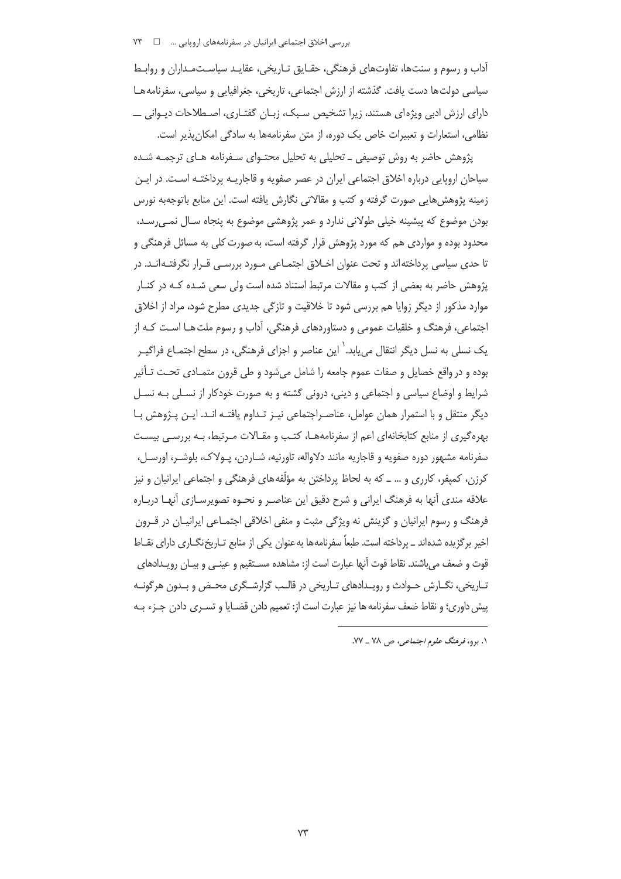آداب و رسوم و سنتها، تفاوتهای فرهنگی، حقـایق تـاریخی، عقایـد سیاسـتمـداران و روابـط سیاسی دولت ها دست یافت. گذشته از ارزش اجتماعی، تاریخی، جغرافیایی و سیاسی، سفرنامه هـا دارای ارزش ادبی ویژهای هستند، زیرا تشخیص سـبک، زبـان گفتـاری، اصـطلاحات دیـوانی ـــ نظامی، استعارات و تعبیرات خاص یک دوره، از متن سفرنامهها به سادگی امکان پذیر است.

پژوهش حاضر به روش توصیفی ــ تحلیلی به تحلیل محتـوای سـفرنامه هـای ترجمـه شـده سیاحان اروپایی درباره اخلاق اجتماعی ایران در عصر صفویه و قاجاریــه پرداختــه اسـت. در ایــن زمینه پژوهش هایی صورت گرفته و کتب و مقالاتی نگارش یافته است. این منابع باتوجهبه نورس بودن موضوع که پیشینه خیلی طولانی ندارد و عمر پژوهشی موضوع به پنجاه سـال نمـی٫سـد، محدود بوده و مواردی هم که مورد پژوهش قرار گرفته است، به صورت کلی به مسائل فرهنگی و تا حدی سیاسی پرداختهاند و تحت عنوان اخلاق اجتمـاعی مـورد بررسـی قـرار نگرفتـهانـد. در پژوهش حاضر به بعضی از کتب و مقالات مرتبط استناد شده است ولی سعی شـده کـه در کنـار موارد مذکور از دیگر زوایا هم بررسی شود تا خلاقیت و تازگی جدیدی مطرح شود، مراد از اخلاق اجتماعي، فرهنگ و خلقيات عمومي و دستاوردهاي فرهنگي، آداب و رسوم ملت هــا اســت كــه از یک نسلی به نسل دیگر انتقال می بابد. ٰ این عناصر و اجزای فرهنگی، در سطح اجتمـاع فراگیـر بوده و در واقع خصایل و صفات عموم جامعه را شامل می شود و طی قرون متمـادی تحـت تـأثیر شرایط و اوضاع سیاسی و اجتماعی و دینی، درونی گشته و به صورت خودکار از نسـلی بـه نسـل دیگر منتقل و با استمرار همان عوامل، عناصـراجتماعی نیـز تـداوم یافتـه انـد. ایـن پـژوهش بـا بهره گیری از منابع کتابخانهای اعم از سفرنامههـا، کتـب و مقـالات مـرتبط، بـه بررسـی بیسـت سفرنامه مشهور دوره صفويه و قاجاريه مانند دلاواله، تاورنيه، شــاردن، پــولاک، بلوشــر، اورســل، کرزن، کمیفر، کارری و … ــ که به لحاظ پرداختن به مؤلَّفههای فرهنگی و اجتماعی ایرانیان و نیز علاقه مندی آنها به فرهنگ ایرانی و شرح دقیق این عناصـر و نحـوه تصویرسـازی آنهـا دربـاره فرهنگ و رسوم ایرانیان و گزینش نه ویژگی مثبت و منفی اخلاقی اجتمـاعی ایرانیـان در قـرون اخیر برگزیده شدهاند ـ پرداخته است. طبعاً سفرنامهها بهعنوان یکی از منابع تـاریخنگــاری دارای نقــاط قوت و ضعف می باشند. نقاط قوت آنها عبارت است از: مشاهده مسـتقیم و عینــی و بیـان رویـدادهای تـاریخی، نگــارش حــوادث و رویــدادهای تــاریخی در قالــب گزارشــگری محـض و بــدون هرگونــه پیش داوری؛ و نقاط ضعف سفرنامه ها نیز عبارت است از: تعمیم دادن قضـایا و تسـری دادن جـزء بـه

١. برو، فرهنگ علوم اجتماعی، ص ٧٨ ـ ٧٧.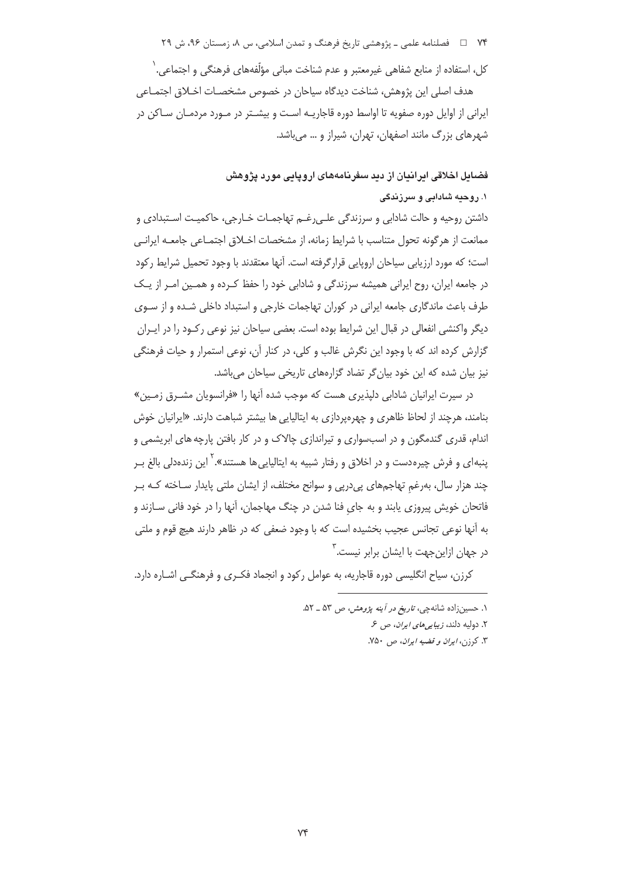۷۴ = فصلنامه علمي ـ پژوهشي تاريخ فرهنگ و تمدن اسلامي، س ٨، زمستان ۹۶، ش ۲۹

کل، استفاده از منابع شفاهی غیرمعتبر و عدم شناخت مبانی مؤلّفههای فرهنگی و اجتماعی. ٰ هدف اصلی این پژوهش، شناخت دیدگاه سیاحان در خصوص مشخصـات اخـلاق اجتمـاعی ایرانی از اوایل دوره صفویه تا اواسط دوره قاجاریـه اسـت و بیشـتر در مـورد مردمـان سـاکن در شهرهای بزرگ مانند اصفهان، تهران، شیراز و … می باشد.

> فضایل اخلاقی ایرانیان از دید سفرنامههای اروپایی مورد پژوهش ۱. روحیه شادابی و سرزندگی

داشتن روحیه و حالت شادابی و سرزندگی علـی(غـم تهاجمـات خـارجی، حاکمیـت اسـتبدادی و ممانعت از هرگونه تحول متناسب با شرايط زمانه، از مشخصات اخـلاق اجتمـاعي جامعــه ايرانــي است؛ که مورد ارزیابی سیاحان اروپایی قرارگرفته است. آنها معتقدند با وجود تحمیل شرایط رکود در جامعه ایران، روح ایرانی همیشه سرزندگی و شادابی خود را حفظ کـرده و همـین امـر از یـک طرف باعث ماندگاری جامعه ایرانی در کوران تهاجمات خارجی و استبداد داخلی شـده و از سـوی دیگر واکنشی انفعالی در قبال این شرایط بوده است. بعضی سیاحان نیز نوعی رکـود را در ایـران گزارش کرده اند که با وجود این نگرش غالب و کلی، در کنار آن، نوعی استمرار و حیات فرهنگی نیز بیان شده که این خود بیان گر تضاد گزارههای تاریخی سیاحان میباشد.

در سیرت ایرانیان شادابی دلیذیری هست که موجب شده آنها را «فرانسویان مشـرق زمـین» بنامند، هرچند از لحاظ ظاهری و چهرهپردازی به ایتالیایی ها بیشتر شباهت دارند. «ایرانیان خوش اندام، قدری گندمگون و در اسبسواری و تیراندازی چالاک و در کار بافتن پارچه های ابریشمی و ينبه|ي و فرش چيرەدست و در اخلاق و رفتار شبيه به ايتاليايي ها هستند». <sup>۱</sup> اين زندەدلی بالغ بـر چند هزار سال، بهرغم تهاجمهای پیدرپی و سوانح مختلف، از ایشان ملتی پایدار ساخته کـه بـر فاتحان خویش پیروزی پابند و به جای فنا شدن در چنگ مهاجمان، آنها را در خود فانی سـازند و به آنها نوعی تجانس عجیب بخشیده است که با وجود ضعفی که در ظاهر دارند هیچ قوم و ملتی در جهان ازاینجهت با ایشان برابر نیست.<sup>۲</sup>

کرزن، سیاح انگلیسی دوره قاجاریه، به عوامل رکود و انجماد فکـری و فرهنگـی اشـاره دارد.

١. حسین زاده شانه چی، تاریخ در آینه پژوهش، ص ۵۳ \_ ۵۲.

٢. دوليه دلند، زيبايي هاي ايران، ص ع

۳. کرزن، *ایران و قضیه ایران*، ص ۷۵۰.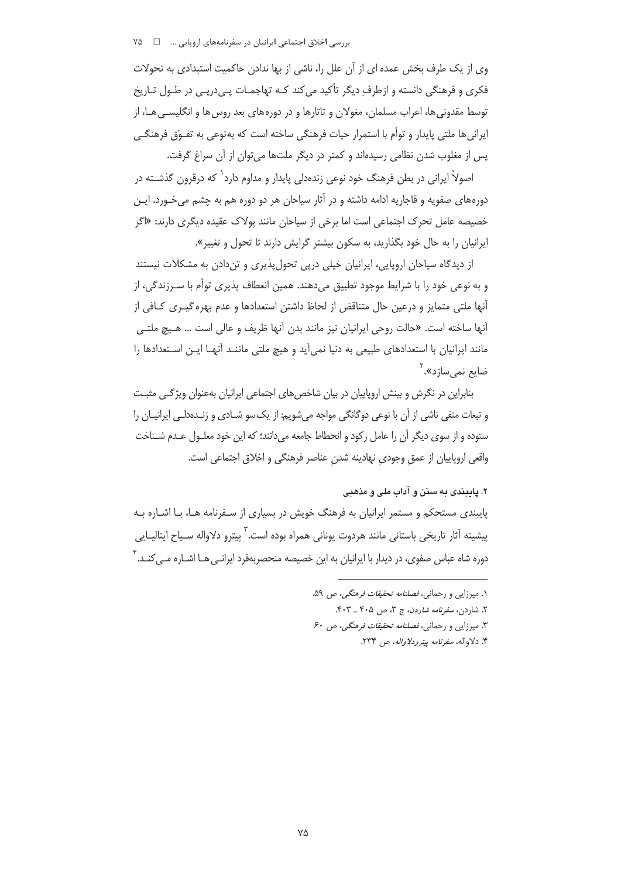بررسی اخلاق اجتماعی ایرانیان در سفرنامههای اروپایی … ۷۵ ۷۵

وی از یک طرف بخش عمده ای از آن علل را، ناشی از بها ندادن حاکمیت استبدادی به تحولات فکری و فرهنگی دانسته و ازطرف دیگر تأکید می کند کـه تهاجمـات پـی‹رپـی در طـول تـاریخ توسط مقدونی ها، اعراب مسلمان، مغولان و تاتارها و در دورههای بعد روس ها و انگلیسـی هـا، از ایرانی ها ملتی پایدار و توأم با استمرار حیات فرهنگی ساخته است که به نوعی به تفـوّق فرهنگـی يس از مغلوب شدن نظامي رسيدهاند و كمتر در ديگر ملتها مي توان از آن سراغ گرفت.

اصولاً ایرانی در بطن فرهنگ خود نوعی زندهدلی پایدار و مداوم دارد<sup>\</sup> که درقرون گذشــته در دورههای صفویه و قاجاریه ادامه داشته و در آثار سیاحان هر دو دوره هم به چشم می خـورد. ایـن خصیصه عامل تحرک اجتماعی است اما برخی از سیاحان مانند پولاک عقیده دیگری دارند: «اگر ایرانیان را به حال خود بگذارید، به سکون بیشتر گرایش دارند تا تحول و تغییر».

از دیدگاه سیاحان اروپایی، ایرانیان خیلی درپی تحول پذیری و تندادن به مشکلات نیستند و به نوعی خود را با شرایط موجود تطبیق میدهند. همین انعطاف پذیری توأم با سـرزندگی، از آنها ملتی متمایز و درعین حال متناقض از لحاظ داشتن استعدادها و عدم بهره گیـری کـافی از آنها ساخته است. «حالت روحي ايرانيان نيز مانند بدن آنها ظريف و عالي است … هـيچ ملتـي مانند ایرانیان با استعدادهای طبیعی به دنیا نمی آید و هیچ ملتی ماننـد آنهـا ایـن اسـتعدادها را ضایع نمے سازد». <sup>۲</sup>

بنابراین در نگرش و بینش اروپاییان در بیان شاخصهای اجتماعی ایرانیان بهعنوان ویژگی مثبت و تبعات منفی ناشی از آن با نوعی دوگانگی مواجه می شویم: از یک سو شــادی و زنــدهدلــی ایرانیــان را ستوده و از سوی دیگر آن را عامل رکود و انحطاط جامعه می دانند؛ که این خود معلـول عـدم شـناخت واقعي اروپاييان از عمق وجودي نهادينه شدن عناصر فرهنگي و اخلاق اجتماعي است.

## ۲. پایبندی به سنن و آداب ملی و مذهبی

پایبندی مستحکم و مستمر ایرانیان به فرهنگ خویش در بسیاری از سـفرنامه هـا، بـا اشـاره بـه پیشینه آثار تاریخی باستانی مانند هردوت یونانی همراه بوده است.<sup>۲</sup> پیترو دلاواله سـیاح ایتالیـایی دوره شاه عباس صفوی، در دیدار با ایرانیان به این خصیصه منحصربهفرد ایرانـی هــا اشــاره مــ ، کنــد. ۴

> ۱. میرزایی و رحمانی، *فصلنامه تحقیقات فرهنگی، ص* ۵۹. ۲. شاردن، *سفرنامه شاردن*، ج ۳، ص ۴۰۵ \_ ۴۰۳. ۳. میرزایی و رحمانی، *فصلنامه تحقیقات فرهنگی، ص*۶۰ ۴. دلاواله، *سفرنامه بيترودلاواله*، ص ۲۳۴.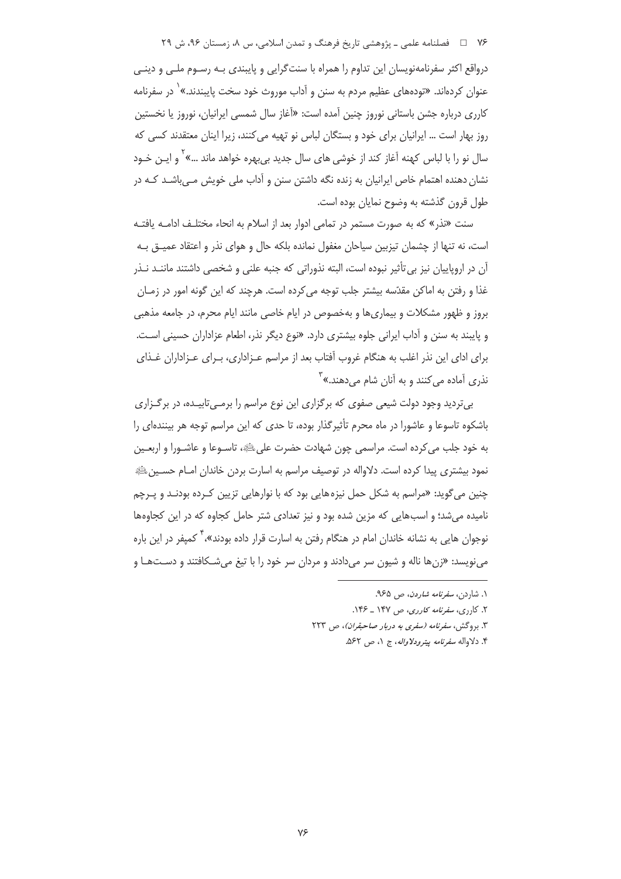۷۶ □ فصلنامه علمي ـ پژوهشي تاريخ فرهنگ و تمدن اسلامي، س ٨، زمستان ۹۶، ش ۲۹

درواقع اکثر سفرنامهنویسان این تداوم را همراه با سنتگرایی و پایبندی بـه رسـوم ملـی و دینـی عنوان کردهاند. «تودههای عظیم مردم به سنن و آداب موروث خود سخت پایبندند.»<sup>۱</sup> در سفرنامه كاررى درباره جشن باستانى نوروز چنين آمده است: «آغاز سال شمسى ايرانيان، نوروز يا نخستين روز بهار است … ایرانیان برای خود و بستگان لباس نو تهیه می کنند، زیرا اینان معتقدند کسی که سال نو را با لباس کهنه آغاز کند از خوشی های سال جدید بی،بهره خواهد ماند …»<sup>۲</sup> و ایـن خـود نشان دهنده اهتمام خاص ایرانیان به زنده نگه داشتن سنن و آداب ملی خویش مے باشـد کـه در طول قرون گذشته به وضوح نمایان بوده است.

سنت «نذر» که به صورت مستمر در تمامی ادوار بعد از اسلام به انحاء مختلـف ادامـه یافتـه است، نه تنها از چشمان تیزبین سیاحان مغفول نمانده بلکه حال و هوای نذر و اعتقاد عمیــق بــه آن در اروپاییان نیز بی تأثیر نبوده است، البته نذوراتی که جنبه علنی و شخصی داشتند ماننـد نـذر غذا و رفتن به اماکن مقدّسه بیشتر جلب توجه می کرده است. هرچند که این گونه امور در زمـان بروز و ظهور مشکلات و بیماری ها و بهخصوص در ایام خاصی مانند ایام محرم، در جامعه مذهبی و پایبند به سنن و آداب ایرانی جلوه بیشتری دارد. «نوع دیگر نذر، اطعام عزاداران حسینی است. براي اداي اين نذر اغلب به هنگام غروب أفتاب بعد از مراسم عـزاداري، بـراي عـزاداران غـذاي نذري اَماده مي *ک*نند و به اَنان شام مي دهند.» <sup>۳</sup>

بی تردید وجود دولت شیعی صفوی که برگزاری این نوع مراسم را برمـیتابیـده، در برگـزاری باشکوه تاسوعا و عاشورا در ماه محرم تأثیرگذار بوده، تا حدی که این مراسم توجه هر بینندهای را به خود جلب می کرده است. مراسمی چون شهادت حضرت علی ﷺ، تاسـوعا و عاشـورا و اربعـین نمود بیشتری پیدا کرده است. دلاواله در توصیف مراسم به اسارت بردن خاندان امـام حسـینﷺ چنین میگوید: «مراسم به شکل حمل نیزههایی بود که با نوارهایی تزیین کـرده بودنـد و یـرچم نامیده می شد؛ و اسب هایی که مزین شده بود و نیز تعدادی شتر حامل کجاوه که در این کجاوهها نوجوان هایی به نشانه خاندان امام در هنگام رفتن به اسارت قرار داده بودند»،<sup>۲</sup> کمیفر در این باره مي نويسد: «زنها ناله و شيون سر مي دادند و مردان سر خود را با تيغ مي شـكافتند و دسـتهـا و

- ۱. شا<sub>د</sub>دن، *سفرنامه شاردن*، ص ۹۶۵.
- ۲. کارری، *سفرنامه کارری*، ص ۱۴۷ ـ ۱۴۶.
- ۳. بروگش، سفرنامه (سفری به دربار صاحبقران)، ص ۲۲۳
	- ۴. دلاواله *سفرنامه پیترودلاواله*، ج ۱، ص ۵۶۲.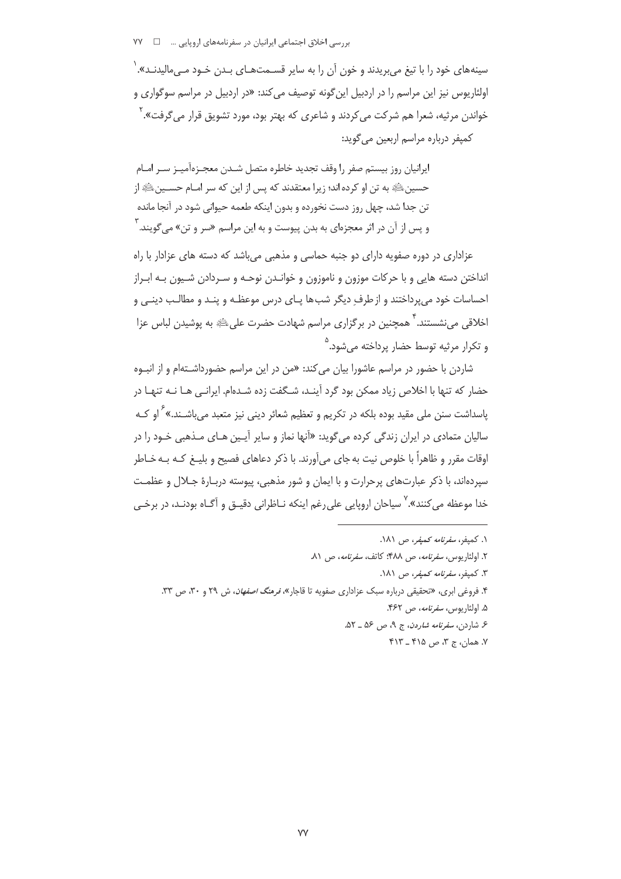سینههای خود را با تیغ می بریدند و خون آن را به سایر قسـمتهـای بـدن خـود مـی،مالیدنـد». <sup>(</sup> اولٹاریوس نیز این مراسم را در اردبیل این گونه توصیف می کند: «در اردبیل در مراسم سوگواری و خواندن مرثیه، شعرا هم شرکت میکردند و شاعری که بهتر بود، مورد تشویق قرار میگرفت».<sup>۲</sup> كميفر درباره مراسم اربعين مي گويد:

ايرانيان روز بيستم صفر را وقف تجديد خاطره متصل شـدن معجـزهآميـز سـر امـام حسين ﷺ به تن او كرده اند؛ زيرا معتقدند كه پس از اين كه سر امــام حســين ﷺ از تن جدا شد، چهل روز دست نخورده و بدون اینکه طعمه حیوانی شود در آنجا مانده و پس از آن در اثر معجزمای به بدن پیوست و به این مراسم «سر و تن» م*ی گ*ویند. <sup>۲</sup>

عزاداری در دوره صفویه دارای دو جنبه حماسی و مذهبی میباشد که دسته های عزادار با راه انداختن دسته هایی و با حرکات موزون و ناموزون و خوانـدن نوحـه و سـردادن شـیون بـه ابـراز احساسات خود می پرداختند و از طرف دیگر شب ها پـای درس موعظـه و پنـد و مطالـب دینـی و اخلاقی می;نشستند. ۲ همچنین در برگزاری مراسم شهادت حضرت علیﷺ به یوشیدن لباس عزا و تکرار مرثیه توسط حضار پرداخته می شود.<sup>۵</sup>

شاردن با حضور در مراسم عاشورا بیان می *کند: «من* در این مراسم حضورداشـتهام و از انبـوه حضار که تنها با اخلاص زیاد ممکن بود گرد آینـد، شـگفت زده شـدهام. ایرانـی هـا نـه تنهـا در یاسداشت سنن ملی مقید بوده بلکه در تکریم و تعظیم شعائر دینی نیز متعبد می باشـند.»<sup>۶</sup> او کــه سالیان متمادی در ایران زندگی کرده می *گ*وید: «آنها نماز و سایر آیـین هـای مـذهبی خـود را در اوقات مقرر و ظاهراً با خلوص نیت به جای میآورند. با ذکر دعاهای فصیح و بلیـغ کـه بـه خـاطر سیردهاند، با ذکر عبارتهای پرحرارت و با ایمان و شور مذهبی، پیوسته دربـارهٔ جـلال و عظمـت خدا موعظه میکنند».<sup>۷</sup> سیاحان اروپایی علی رغم اینکه نـاظرانی دقیـق و آگـاه بودنـد، در برخـی

٧. همان، ج ٣، ص ۴۱۵ \_ ۴۱۳

١. كمپفر، *سفرنامه كمپفر*، ص ١٨١.

٢. اولئاريوس، *سفرنامه*، ص ۴۸۸؛ كاتف، *سفرنامه*، ص ٨١.

۳. کمپفر، *سفرنامه کمپفر*، ص ۱۸۱.

۴. فروغی ابری، «تحقیقی درباره سبک عزاداری صفویه تا قاجار»، *فرهنگ اصفهان*، ش ۲۹ و ۳۰، ص ۳۳.

۵. اولئاريوس، *سفرنامه*، ص ۴۶۲.

ع شاردن، *سفرنامه شاردن*، ج ۹، ص ۵۶ \_ ۵۲.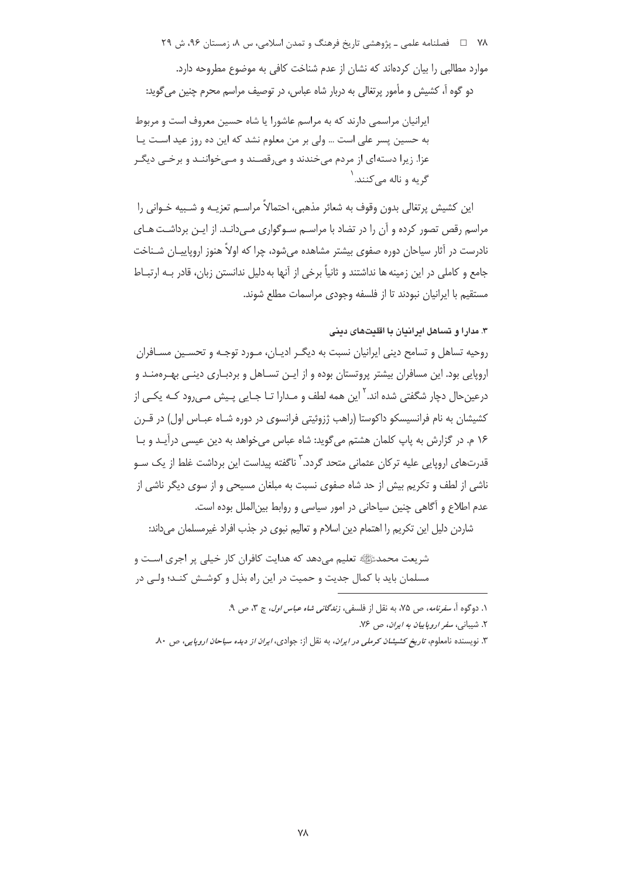۷۸ = ه فصلنامه علمي ـ پژوهشي تاريخ فرهنگ و تمدن اسلامي، س ٨، زمستان ۹۶، ش ۲۹

موارد مطالبی را بیان کردهاند که نشان از عدم شناخت کافی به موضوع مطروحه دارد. دو گوه آ، کشیش و مأمور پرتغالی به دربار شاه عباس، در توصیف مراسم محرم چنین می گوید:

ایرانیان مراسمی دارند که به مراسم عاشورا یا شاه حسین معروف است و مربوط به حسین پسر علی است … ولی بر من معلوم نشد که این ده روز عید اسـت یـا عزا. زیرا دستهای از مردم میخندند و میرقصند و مـیخواننـد و برخـی دیگـر گ به و ناله م*ي ک*نند. <sup>۱</sup>

این کشیش پرتغالی بدون وقوف به شعائر مذهبی، احتمالاً مراسـم تعزیــه و شــبیه خـوانی را مراسم رقص تصور کرده و آن را در تضاد با مراسـم سـوگواری مـی(انـد. از ایـن برداشـت هـای نادرست در آثار سیاحان دوره صفوی بیشتر مشاهده می شود، چرا که اولاً هنوز اروپاییـان شـناخت جامع و کاملی در این زمینه ها نداشتند و ثانیاً برخی از آنها به دلیل ندانستن زبان، قادر بـه ارتبـاط مستقیم با ایرانیان نبودند تا از فلسفه وجودی مراسمات مطلع شوند.

# ۳. مدارا و تساهل ایرانیان با اقلیتهای دینی

روحیه تساهل و تسامح دینی ایرانیان نسبت به دیگـر ادیـان، مـورد توجـه و تحسـین مسـافران اروپایی بود. این مسافران بیشتر پروتستان بوده و از ایـن تسـاهل و بردبـاری دینـی بهـرممنـد و درعین حال دچار شگفتی شده اند.<sup>۲</sup> این همه لطف و مـدارا تـا جـایی پـیش مـی۱٫ود کـه یکـی از کشیشان به نام فرانسیسکو داکوستا (راهب ژزوئیتی فرانسوی در دوره شـاه عبـاس اول) در قــرن ١۶ م. در گزارش به پاپ كلمان هشتم مى گويد: شاه عباس مى خواهد به دين عيسى درآيـد و بـا قدرتهای اروپایی علیه ترکان عثمانی متحد گردد.<sup>۳</sup> ناگفته پیداست این برداشت غلط از یک سـو ناشی از لطف و تکریم بیش از حد شاه صفوی نسبت به مبلغان مسیحی و از سوی دیگر ناشی از عدم اطلاع و آگاهی چنین سیاحانی در امور سیاسی و روابط بینالملل بوده است.

شاردن دلیل این تکریم را اهتمام دین اسلام و تعالیم نبوی در جذب افراد غیرمسلمان میداند:

شریعت محمدﷺ تعلیم میدهد که هدایت کافران کار خیلی پر اجری اسـت و مسلمان بايد با كمال جديت و حميت در اين راه بذل و كوشــش كنــد؛ ولــي در

١. دوگوه آ، *سفرنامه*، ص ٧۵، به نقل از فلسفي، *زندگاني شاه عباس اول*، ج ٣، ص ٩.

۲. شیبانی، سفر *ا*روپاییا*ن به ایران*، ص ۷۶.

۳. نویسنده نامعلوم، *تاریخ کشیشان کرملی در ایران*، به نقل از: جوادی، *ایران از دیده سیاحان اروپایی*، ص ۸۰.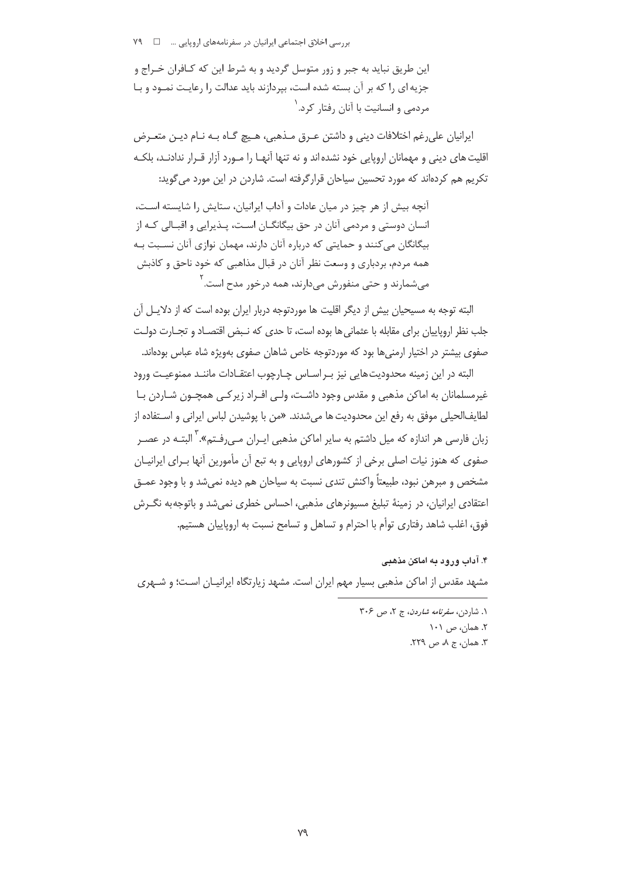این طریق نباید به جبر و زور متوسل گردید و به شرط این که کـافران خـراج و جزیه ای را که بر آن بسته شده است، بپردازند باید عدالت را رعایت نمود و با مردمی و انسانیت با آنان رفتار کرد.<sup>۱</sup>

ايرانيان على رغم اختلافات ديني و داشتن عـرق مـذهبي، هـيچ گـاه بـه نـام ديـن متعـرض اقلیت های دینی و مهمانان اروپایی خود نشده اند و نه تنها آنهـا را مـورد آزار قـرار ندادنـد، بلکـه تکریم هم کردهاند که مورد تحسین سیاحان قرارگرفته است. شاردن در این مورد می گوید:

آنچه بیش از هر چیز در میان عادات و آداب ایرانیان، ستایش را شایسته اسـت، انسان دوستی و مردمی آنان در حق بیگانگــان اســت، پــذیرایی و اقبــالی کــه از بیگانگان میکنند و حمایتی که درباره آنان دارند، مهمان نوازی آنان نسبت بـه همه مردم، بردباري و وسعت نظر آنان در قبال مذاهبي كه خود ناحق و كاذبش مي شمارند و حتى منفورش مى دارند، همه درخور مدح است. <sup>۲</sup>

البته توجه به مسیحیان بیش از دیگر اقلیت ها موردتوجه دربار ایران بوده است که از دلایـل آن جلب نظر اروپاییان برای مقابله با عثمانی ها بوده است، تا حدی که نـبض اقتصـاد و تجـارت دولـت صفوی بیشتر در اختیار ارمنی ها بود که موردتوجه خاص شاهان صفوی بهویژه شاه عباس بودهاند.

البته در این زمینه محدودیتهایی نیز ب راسـاس چـارچوب اعتقـادات ماننـد ممنوعیـت ورود غیرمسلمانان به اماکن مذهبی و مقدس وجود داشـت، ولـی افـراد زیرکـی همچـون شـاردن بـا لطايفالحيلي موفق به رفع اين محدوديت ها مي شدند. «من با يوشيدن لباس ايراني و اسـتفاده از زبان فارسی هر اندازه که میل داشتم به سایر اماکن مذهبی ایــران مــی(فـتم».<sup>۲</sup> البتــه در عصــر صفوی که هنوز نیات اصلی برخی از کشورهای اروپایی و به تبع آن مأمورین آنها بـرای ایرانیـان مشخص و مبرهن نبود، طبیعتاً واکنش تندی نسبت به سیاحان هم دیده نمیشد و با وجود عمـق اعتقادی ایرانیان، در زمینهٔ تبلیغ مسیونرهای مذهبی، احساس خطری نمی شد و باتوجه به نگـرش فوق، اغلب شاهد رفتاري توأم با احترام و تساهل و تسامح نسبت به اروپاييان هستيم.

۴. آداب ورود به اماکن مذهبی مشهد مقدس از اماکن مذهبی بسیار مهم ایران است. مشهد زیارتگاه ایرانیـان اسـت؛ و شـهری

۱. شا<sub>ز</sub>دن، *سفرنامه شاردن،* ج ۲، ص ۳۰۶ ۲. همان، ص ۱۰۱ ۳. همان، ج ۸، ص ۲۲۹.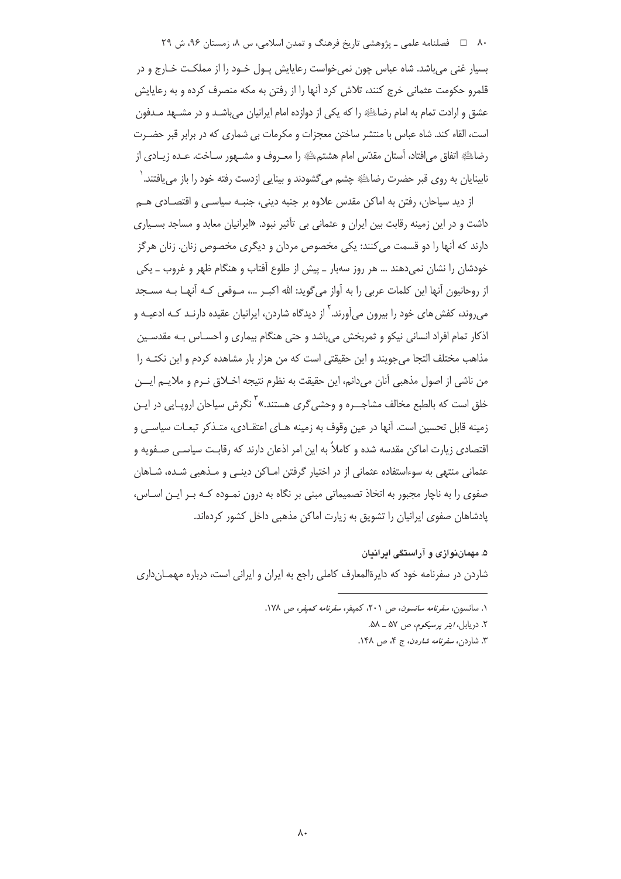۸۰ فصلنامه علمي ـ پژوهشي تاريخ فرهنگ و تمدن اسلامي، س ۸، زمستان ۹۶، ش ۲۹

بسیار غنی می باشد. شاه عباس چون نمی خواست رعایایش یـول خـود را از مملکـت خـارج و در قلمرو حکومت عثمانی خرج کنند، تلاش کرد آنها را از رفتن به مکه منصرف کرده و به رعایایش عشق و ارادت تمام به امام رضاء الله را که یکی از دوازده امام ایرانیان میباشـد و در مشـهد مـدفون است، القاء کند. شاه عباس با منتشر ساختن معجزات و مکرمات بی شماری که در برابر قبر حضـرت رضاطَّةِ اتفاق مي افتاد، آستان مقدَّس امام هشتم الله دا معـروف و مشــهور ســاخت. عــده زيــادي از نابینایان به روی قبر حضرت رضاﷺ چشم میگشودند و بینایی ازدست رفته خود را باز می یافتند. ٰ

از دید سیاجان، رفتن به اماکن مقدس علاوه بر جنبه دینے، جنبـه سیاسـی و اقتصـادی هــم داشت و در این زمینه رقابت بین ایران و عثمانی بی تأثیر نبود. «ایرانیان معابد و مساجد بسـیاری دارند که آنها را دو قسمت می کنند: یکی مخصوص مردان و دیگری مخصوص زنان. زنان هرگز خودشان را نشان نمیدهند … هر روز سهبار \_ پیش از طلوع آفتاب و هنگام ظهر و غروب \_ یکی از روحانیون آنها این کلمات عربی را به آواز میگوید: الله اکبـر …، مـوقعی کـه آنهـا بـه مسـجد می,روند، کفش های خود را بیرون می]ورند.<sup>۲</sup> از دیدگاه شاردن، ایرانیان عقیده دارنـد کـه ادعیـه و اذکار تمام افراد انسانی نیکو و ثمربخش می باشد و حتی هنگام بیماری و احسـاس بـه مقدسـین مذاهب مختلف التجا مي جويند و اين حقيقتي است كه من هزار بار مشاهده كردم و اين نكتـه را من ناشي از اصول مذهبي آنان ميدانم، اين حقيقت به نظرم نتيجه اخــلاق نــرم و ملايــم ايـــن خلق است که بالطبع مخالف مشاجــره و وحش*ی گ*ری هستند.»<sup>۳</sup> نگرش سیاحان اروپــایی در ایــن زمینه قابل تحسین است. آنها در عین وقوف به زمینه هـای اعتقـادی، متـذکر تبعـات سیاسـی و اقتصادی زیارت اماکن مقدسه شده و کاملاً به این امر اذعان دارند که رقابت سیاسـی صـفویه و عثمانی منتهی به سوءاستفاده عثمانی از در اختیار گرفتن امـاکن دینـی و مـذهبی شـده، شـاهان صفوی را به ناچار مجبور به اتخاذ تصمیماتی مبنی بر نگاه به درون نمـوده کـه بـر ایـن اسـاس، یادشاهان صفوی ایرانیان را تشویق به زیارت اماکن مذهبی داخل کشور کردهاند.

۵. مهمان نوازی و آراستگی ایرانیان

شاردن در سفرنامه خود که دایرةالمعارف کاملی راجع به ایران و ایرانی است، درباره مهمــانداری

١. سانسون، *سفرنامه سانسون*، ص ٢٠١، كميفر، *سفرنامه كميفر، ص ١٧٨.* 

٢. دربایل، *ایتر پرسیکوم، ص ۵*۷ ـ ۵۸.

۳. شاردن، *سفرنامه شاردن*، ج ۴، ص ۱۴۸.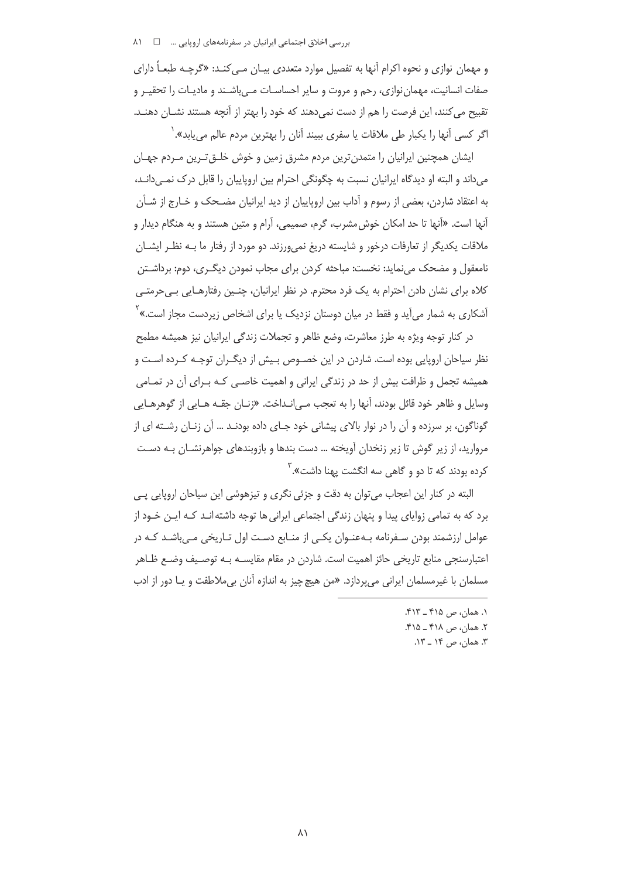و مهمان نوازی و نحوه اکرام آنها به تفصیل موارد متعددی بیـان مـی کنـد: «گرچـه طبعـاً دارای صفات انسانیت، مهمان نوازی، رحم و مروت و سایر احساسـات مـی باشـند و مادیـات را تحقیـر و تقبیح می کنند، این فرصت را هم از دست نمی دهند که خود را بهتر از آنچه هستند نشــان دهنــد. اگر کسی آنها را یکبار طی ملاقات یا سفری ببیند آنان را بهترین مردم عال<u>م می ی</u>ابد». <sup>(</sup>

ایشان همچنین ایرانیان را متمدن ترین مردم مشرق زمین و خوش خلــق تــرین مــردم جهــان می داند و البته او دیدگاه ایرانیان نسبت به چگونگی احترام بین اروپاییان را قابل درک نمـی دانـد، به اعتقاد شاردن، بعضی از رسوم و آداب بین اروپاییان از دید ایرانیان مضـحک و خـارج از شـأن آنها است. «آنها تا حد امکان خوش مشرب، گرم، صمیمی، آرام و متین هستند و به هنگام دیدار و ملاقات یکدیگر از تعارفات درخور و شایسته دریغ نمیeرزند. دو مورد از رفتار ما بـه نظـر ایشــان نامعقول و مضحک می نماید: نخست: مباحثه کردن برای مجاب نمودن دیگـری، دوم: برداشـتن کلاه برای نشان دادن احترام به یک فرد محترم. در نظر ایرانیان، چنـین رفتارهـایی بـی<رمتـی آشکاری به شمار میآید و فقط در میان دوستان نزدیک یا برای اشخاص زیردست مجاز است.»<sup>۲</sup>

در کنار توجه ویژه به طرز معاشرت، وضع ظاهر و تجملات زندگی ایرانیان نیز همیشه مطمح نظر سیاحان اروپایی بوده است. شاردن در این خصـوص بـیش از دیگـران توجـه کـرده اسـت و همیشه تجمل و ظرافت بیش از حد در زندگی ایرانی و اهمیت خاصبی کـه بـرای آن در تمـامی وسایل و ظاهر خود قائل بودند، آنها را به تعجب مـی|نـداخت. «زنـان جقـه هـایی از گوهرهـایی گوناگون، بر سرزده و آن را در نوار بالای پیشانی خود جـای داده بودنـد … آن زنـان رشـته ای از مروارید، از زیر گوش تا زیر زنخدان آویخته … دست بندها و بازوبندهای جواهرنشـان بـه دسـت کرده بودند که تا دو و گاهی سه انگشت یهنا داشت».<sup>۳</sup>

البته در کنار این اعجاب می توان به دقت و جزئی نگری و تیزهوشی این سیاحان اروپایی یے برد که به تمامی زوایای پیدا و پنهان زندگی اجتماعی ایرانی ها توجه داشته انـد کـه ایـن خـود از عوامل ارزشمند بودن سـفرنامه بـهعنـوان یکـی از منـابع دسـت اول تـاریخی مـی،باشـد کـه در اعتبارسنجي منابع تاريخي حائز اهميت است. شاردن در مقام مقايســه بــه توصـيف وضـع ظــاهر مسلمان با غیرمسلمان ایرانی می یردازد. «من هیچ چیز به اندازه آنان بی ملاطفت و یـا دور از ادب

١. همان، ص ۴۱۵ \_ ۴۱۳. ۲. همان، ص ۴۱۸ ـ ۴۱۵. ۳. همان، ص ۱۴ \_ ۱۳.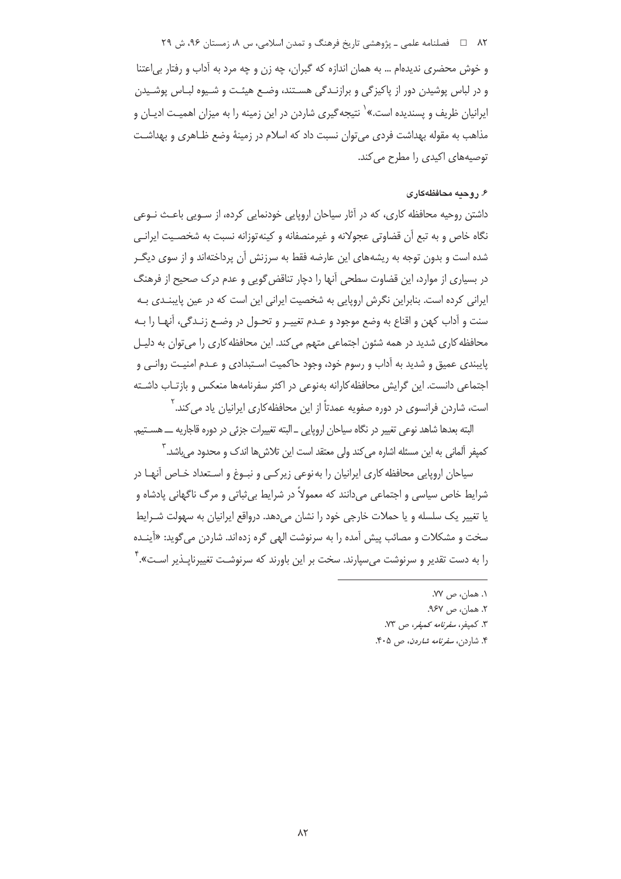۸۲ فصلنامه علمي ـ پژوهشي تاريخ فرهنگ و تمدن اسلامي، س ۸، زمستان ۹۶، ش ۲۹

و خوش محضري نديدهام … به همان اندازه كه گبران، چه زن و چه مرد به آداب و رفتار بي اعتنا و در لباس پوشیدن دور از پاکیزگی و برازنـدگی هسـتند، وضـع هیئـت و شـیوه لبـاس پوشـیدن ایرانیان ظریف و پسندیده است.»<sup>۱</sup> نتیجه *گ*یری شاردن در این زمینه را به میزان اهمیـت ادیــان و مذاهب به مقوله بهداشت فردي مي توان نسبت داد كه اسلام در زمينهٔ وضع ظـاهري و بهداشـت توصیههای اکیدی را مطرح می کند.

## ۶. روحیه محافظهکاری

داشتن روحیه محافظه کاری، که در آثار سیاحان اروپایی خودنمایی کرده، از سـویی باعـث نـوعی نگاه خاص و به تبع آن قضاوتی عجولانه و غیرمنصفانه و کینه توزانه نسبت به شخصیت ایرانے شده است و بدون توجه به ریشههای این عارضه فقط به سرزنش آن پرداختهاند و از سوی دیگ ر در بسیاری از موارد، این قضاوت سطحی آنها را دچار تناقض گویی و عدم درک صحیح از فرهنگ ایرانی کرده است. بنابراین نگرش اروپایی به شخصیت ایرانی این است که در عین پایبنـدی بـه سنت و آداب کهن و اقناع به وضع موجود و عـدم تغییـر و تحـول در وضـع زنـدگی، آنهـا را بـه محافظه کاری شدید در همه شئون اجتماعی متهم می کند. این محافظه کاری را می توان به دلیـل پایبندی عمیق و شدید به آداب و رسوم خود، وجود حاکمیت اسـتبدادی و عـدم امنیـت روانـی و اجتماعی دانست. این گرایش محافظه کارانه بهنوعی در اکثر سفرنامهها منعکس و بازتـاب داشـته است، شاردن فرانسوی در دوره صفویه عمدتاً از این محافظه کاری ایرانیان یاد می کند.<sup>۲</sup>

البته بعدها شاهد نوعي تغيير در نگاه سياحان اروپايي \_ البته تغييرات جزئي در دوره قاجاريه ـــ هســتيم. کمیفر آلمانی به این مسئله اشاره می کند ولی معتقد است این تلاش ها اندک و محدود می باشد. <sup>۳</sup>

سیاحان اروپایی محافظه کاری ایرانیان را به نوعی زیر کـی و نبـوغ و اسـتعداد خـاص آنهـا در شرایط خاص سیاسی و اجتماعی میدانند که معمولاً در شرایط بیثباتی و مرگ ناگهانی پادشاه و یا تغییر یک سلسله و یا حملات خارجی خود را نشان میدهد. درواقع ایرانیان به سهولت شـرایط سخت و مشکلات و مصائب پیش آمده را به سرنوشت الهی گره زده اند. شاردن می گوید: «آینـده را به دست تقدیر و سرنوشت می سیارند. سخت بر این باورند که سرنوشـت تغییرنایــذیر اسـت». <sup>۲</sup>

- ١. همان، ص ٧٧. ٢. همان، ص ٩۶٧. ٣. كميفر، *سفرنامه كميفر*، ص ٧٣.
- ۴. شاردن، *سفرنامه شاردن*، ص ۴۰۵.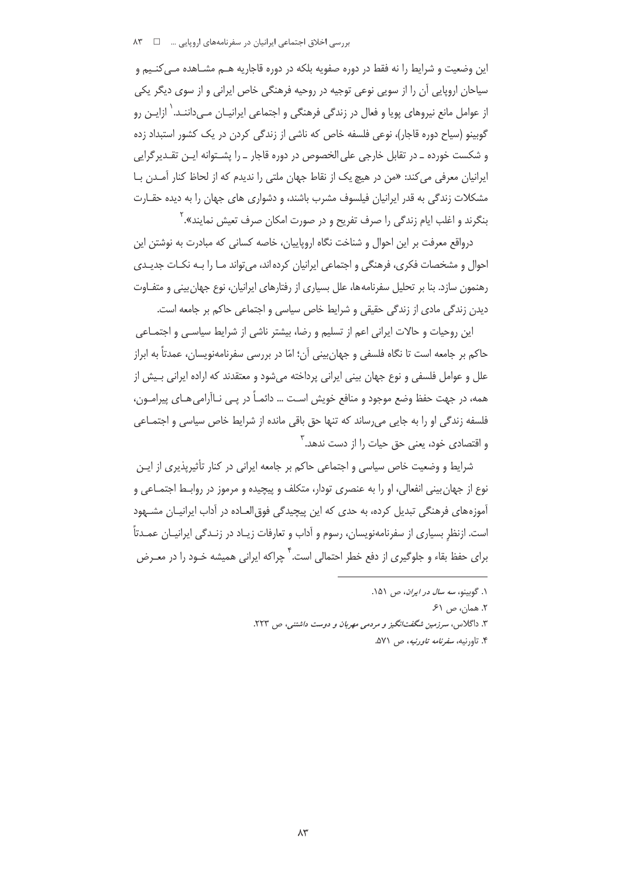این وضعیت و شرایط را نه فقط در دوره صفویه بلکه در دوره قاجاریه هــم مشــاهده مــی کنــیم و سیاحان اروپایی آن را از سویی نوعی توجیه در روحیه فرهنگی خاص ایرانی و از سوی دیگر یکی از عوامل مانع نیروهای پویا و فعال در زندگی فرهنگی و اجتماعی ایرانیـان مـیcاننـد.<sup>\</sup> ازایـن رو گوبینو (سیاح دوره قاجار)، نوعی فلسفه خاص که ناشی از زندگی کردن در یک کشور استبداد زده و شکست خورده ـ در تقابل خارجی علی الخصوص در دوره قاجار ـ را پشــتوانه ایــن تقــدیر گرایی ایرانیان معرفی می کند: «من در هیچ یک از نقاط جهان ملتی را ندیدم که از لحاظ کنار آمـدن بــا مشکلات زندگی به قدر ایرانیان فیلسوف مشرب باشند، و دشواری های جهان را به دیده حقـارت بنگرند و اغلب ایام زندگی را صرف تفریح و در صورت امکان صرف تعیش نمایند».<sup>۲</sup>

درواقع معرفت بر این احوال و شناخت نگاه اروپاییان، خاصه کسانی که مبادرت به نوشتن این احوال و مشخصات فكرى، فرهنگى و اجتماعى ايرانيان كرده اند، مى تواند مـا را بـه نكـات جديـدى رهنمون سازد. بنا بر تحلیل سفرنامه ها، علل بسیاری از رفتارهای ایرانیان، نوع جهان بینی و متفـاوت دیدن زندگی مادی از زندگی حقیقی و شرایط خاص سیاسی و اجتماعی حاکم بر جامعه است.

این روحیات و حالات ایرانی اعم از تسلیم و رضا، بیشتر ناشی از شرایط سیاسـی و اجتمـاعی حاکم بر جامعه است تا نگاه فلسفی و جهان بینی آن؛ امّا در بررسی سفرنامهنویسان، عمدتاً به ابراز علل و عوامل فلسفی و نوع جهان بینی ایرانی پرداخته می شود و معتقدند که اراده ایرانی بـیش از همه، در جهت حفظ وضع موجود و منافع خویش اسـت … دائمـاً در یــی نــاآرامی۵هـای پیرامــون، فلسفه زندگی او را به جایی می رساند که تنها حق باقی مانده از شرایط خاص سیاسی و اجتمـاعی و اقتصادی خود، یعنی حق حیات را از دست ندهد.<sup>۳</sup>

شرایط و وضعیت خاص سیاسی و اجتماعی حاکم بر جامعه ایرانی در کنار تأثیرپذیری از ایـن نوع از جهان بيني انفعالي، او را به عنصري تودار، متكلف و پيچيده و مرموز در روابـط اجتمـاعي و آموزههای فرهنگی تبدیل کرده، به حدی که این پیچیدگی فوق العـاده در آداب ایرانیـان مشـهود است. ازنظر بسیاری از سفرنامهنویسان، رسوم و آداب و تعارفات زیـاد در زنـدگی ایرانیـان عمـدتاً برای حفظ بقاء و جلوگیری از دفع خطر احتمالی است.<sup>۴</sup> چراکه ایرانی همیشه خـود را در م*عــر*ض

- ۳. داگلاس، سرزمین شگفت نگیز و مردمی مهربان و دوست داشتنی، ص ۲۲۳.
	- ۴. تاورنیه، *سفرنامه تاورنیه*، ص ۵۷۱.

١. گوينه، سه سال در ايران، ص ١۵١.

٢. همان، ص ۶۱.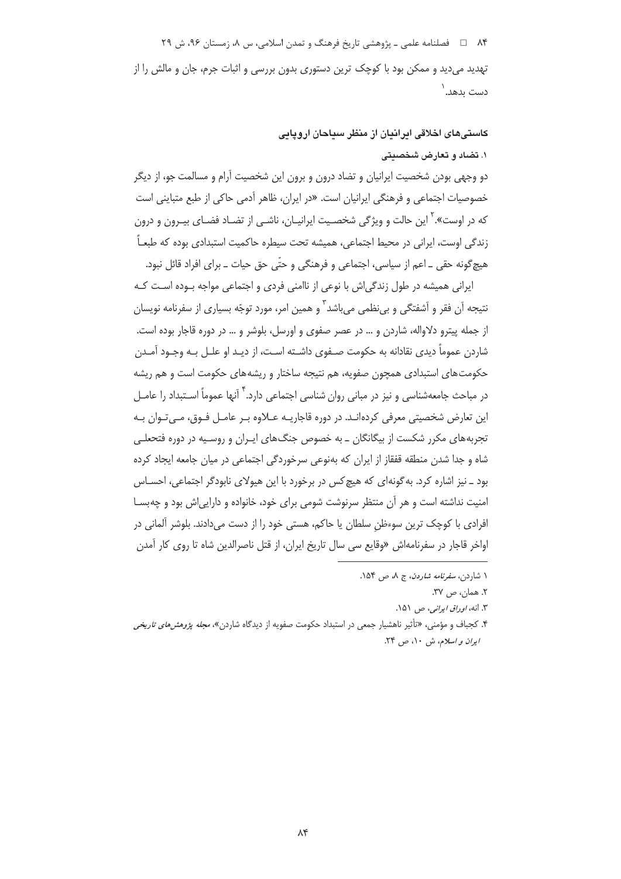۸۴ فصلنامه علمی ـ یژوهشی تاریخ فرهنگ و تمدن اسلامی، س ۸، زمستان ۹۶، ش ۲۹ تهدید می دید و ممکن بود با کوچک ترین دستوری بدون بررسی و اثبات جرم، جان و مالش را از دست ىدھد. ٰ

> کاستے های اخلاقی ایرانیان از منظر سیاجان اروپایی ۱. تضاد و تعارض شخصیتی

دو وجهی بودن شخصیت ایرانیان و تضاد درون و برون این شخصیت آرام و مسالمت جو، از دیگر خصوصیات اجتماعی و فرهنگی ایرانیان است. «در ایران، ظاهر آدمی حاکی از طبع متباینی است که در اوست».<sup>۲</sup> این حالت و ویژگی شخصـیت ایرانیـان، ناشـی از تضـاد فضـای بیـرون و درون زندگی اوست، ایرانی در محیط اجتماعی، همیشه تحت سیطره حاکمیت استبدادی بوده که طبعـاً هيچ گونه حقي \_ اعم از سياسي، اجتماعي و فرهنگي و حتّى حق حيات \_ براي افراد قائل نبود.

ایرانی همیشه در طول زندگی اش با نوعی از ناامنی فردی و اجتماعی مواجه بـوده اسـت کـه نتيجه اَن فقر و اَشفتگي و بي نظمي مي باشد <sup>۳</sup>و همين امر، مورد توجّه بسياري از سفرنامه نويسان از جمله پیترو دلاواله، شاردن و … در عصر صفوی و اورسل، بلوشر و … در دوره قاجار بوده است. شاردن عموماً دیدی نقادانه به حکومت صـفوی داشـته اسـت، از دیـد او علــل بــه وجـود آمــدن حکومتهای استبدادی همچون صفویه، هم نتیجه ساختار و ریشههای حکومت است و هم ریشه در مباحث جامعهشناسی و نیز در مبانی روان شناسی اجتماعی دارد.<sup>۴</sup> آنها عموماً اسـتبداد را عامــل این تعارض شخصیتی معرفی کردہانـد. در دورہ قاجاریـه عــلاوہ بـر عامــل فـوق، مــی تـوان بـه تجربههای مکرر شکست از بیگانگان ـ به خصوص جنگ@ای ایـران و روسـیه در دوره فتحعلـی شاه و جدا شدن منطقه قفقاز از ایران که بهنوعی سرخوردگی اجتماعی در میان جامعه ایجاد کرده بود \_ نیز اشاره کرد. به گونهای که هیچ کس در برخورد با این هیولای نابودگر اجتماعی، احسـاس امنیت نداشته است و هر آن منتظر سرنوشت شومی برای خود، خانواده و دارایی اش بود و چه بسـا افرادی یا کوچک ترین سوءظن سلطان یا حاکم، هستی خود را از دست می دادند. بلوشر آلمانی در اواخر قاجار در سفرنامهاش «وقایع سی سال تاریخ ایران، از قتل ناصرالدین شاه تا روی کار آمدن

۱ شاردن، *سفرنامه شاردن*، ج ۸، ص ۱۵۴.

٢. همان، ص ٣٧.

۳. انه، *اوراق ایرانی،* ص ۵۱۵۱.

۴. کحیاف و مؤمنے ، «تأثیر ناهشیار جمعی در استبداد حکومت صفویه از دیدگاه شاردن»، *محله بژوهش های تاریخی ایران و اسلام*، ش ۱۰، ص ۲۴.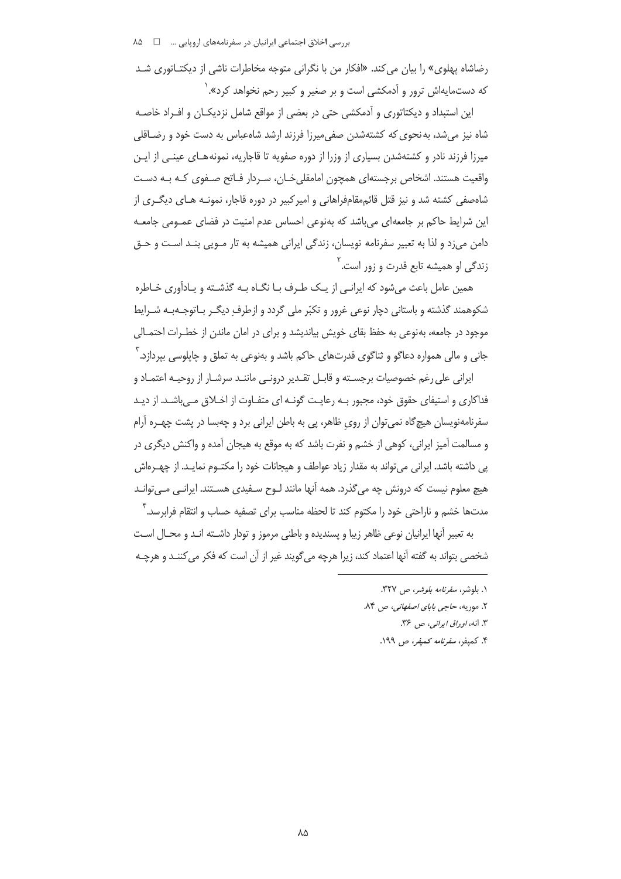رضاشاه پهلوی» را بیان می کند. «افکار من با نگرانی متوجه مخاطرات ناشی از دیکتـاتوری شـد که دستمایهاش ترور و آدمکشی است و بر صغیر و کبیر رحم نخواهد کرد».<sup>۱</sup>

این استبداد و دیکتاتوری و آدمکشی حتی در بعضی از مواقع شامل نزدیکـان و افـراد خاصـه شاه نیز می شد، به نحوی که کشتهشدن صفی میرزا فرزند ارشد شاهعباس به دست خود و رضـاقلی میرزا فرزند نادر و کشتهشدن بسیاری از وزرا از دوره صفویه تا قاجاریه، نمونههـای عینـی از ایـن واقعیت هستند. اشخاص پرچستهای همچون امامقلی خیان، سیردار فیاتح صیفوی کیه پیه دسیت شاهصفی کشته شد و نیز قتل قائممقامفراهانی و امیرکبیر در دوره قاجار، نمونـه هـای دیگـری از این شرایط حاکم بر جامعهای می باشد که بهنوعی احساس عدم امنیت در فضای عمـومی جامعـه دامن میزد و لذا به تعبیر سفرنامه نویسان، زندگی ایرانی همیشه به تار مـویی بنـد اسـت و حـق زندگی او همیشه تابع قدرت و زور اس*ت.* <sup>۲</sup>

همین عامل باعث می شود که ایرانبی از یـک طـرف بـا نگــاه بــه گذشــته و یـادآوری خـاطره شکوهمند گذشته و باستانی دچار نوعی غرور و تکبّر ملی گردد و ازطرف دیگـر بـاتوجـهبـه شـرایط موجود در جامعه، بهنوعی به حفظ بقای خویش بیاندیشد و برای در امان ماندن از خطـرات احتمـالی جاني و مالي همواره دعاگو و ثناگوي قدرتهاي حاكم باشد و بهنوعي به تملق و چاپلوسي بپردازد. آ

ایرانی علی رغم خصوصیات برجسـته و قابـل تقـدیر درونـی ماننـد سرشـار از روحیـه اعتمـاد و فداکاری و استیفای حقوق خود، مجبور بـه رعایـت گونـه ای متفـاوت از اخـلاق مـی باشـد. از دیـد سفرنامهنویسان هیچگاه نمی توان از روی ظاهر، پی به باطن ایرانی برد و چهبسا در پشت چهـره آرام و مسالمت آمیز ایرانی، کوهی از خشم و نفرت باشد که به موقع به هیجان آمده و واکنش دیگری در یی داشته باشد. ایرانی می تواند به مقدار زیاد عواطف و هیجانات خود را مکتـوم نمایـد. از چهـرەاش هیچ معلوم نیست که درونش چه می گذرد. همه آنها مانند لـوح سـفیدی هسـتند. ایرانـی مـی توانـد مدتها خشم و ناراحتی خود را مکتوم کند تا لحظه مناسب برای تصفیه حساب و انتقام فرابرسد. ۳

به تعبير أنها إيرانيان نوعي ظاهر زيبا و يسنديده و باطني مرموز و تودار داشـته انـد و محـال اسـت شخصي بتواند به گفته آنها اعتماد كند، زيرا هرچه مي گويند غير از آن است كه فكر مي كننــد و هرچــه

- ١. بلوشر، *سفرنامه بلوشر، ص ٣٢٧*.
- ۲. موریه، حاجی بابای *اصفهانی،* ص ۸۴.
	- ۳. انه، *او داق ایرانبی*، ص ۳۶.
	- ۴. كميفر، *سفرنامه كميفر، ص ۱۹۹.*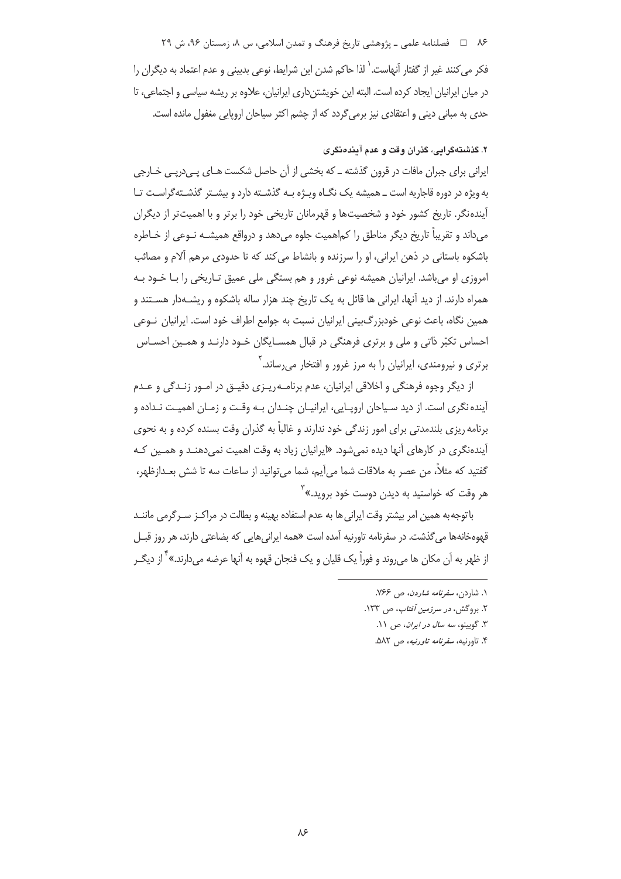۸۶ = د فصلنامه علمی ـ یژوهشی تاریخ فرهنگ و تمدن اسلامی، س ۸، زمستان ۹۶، ش ۲۹

فكر مى كنند غير از گفتار آنهاست.<sup>'</sup> لذا حاكم شدن اين شرايط، نوعى بديينى و عدم اعتماد به ديگران را در میان ایرانیان ایجاد کرده است. البته این خویشتنداری ایرانیان، علاوه بر ریشه سیاسی و اجتماعی، تا حدی به مبانی دینی و اعتقادی نیز برمی گردد که از چشم اکثر سیاحان اروپایی مغفول مانده است.

# ۲. گذشتهگرامی، گذران وقت و عدم آمندهنگری

ایرانی برای جبران مافات در قرون گذشته ــ که بخشی از آن حاصل شکست هـای یـی(ریـی خـارجی به ویژه در دوره قاجاریه است ــ همیشه یک نگـاه ویـژه بـه گذشـته دارد و بیشـتر گذشـتهگراسـت تـا آیندهنگر. تاریخ کشور خود و شخصیتها و قهرمانان تاریخی خود را برتر و با اهمیتتر از دیگران مي داند و تقريباً تاريخ ديگر مناطق را كماهميت جلوه مي دهد و درواقع هميشــه نــوعي از خــاطره باشکوه باستانی در ذهن ایرانی، او را سرزنده و بانشاط می کند که تا حدودی مرهم آلام و مصائب امروزی او میباشد. ایرانیان همیشه نوعی غرور و هم بستگی ملی عمیق تـاریخی را بـا خـود بـه همراه دارند. از دید آنها، ایرانی ها قائل به یک تاریخ چند هزار ساله باشکوه و ریشـهدار هسـتند و همین نگاه، باعث نوعی خودبزرگبینی ایرانیان نسبت به جوامع اطراف خود است. ایرانیان نــوعی احساس تکبّر ذاتی و ملی و برتری فرهنگی در قبال همسـایگان خـود دارنـد و همـین احسـاس برتری و نیرومندی، ایرانیان را به مرز غرور و افتخار میرساند.<sup>۲</sup>

از ديگر وجوه فرهنگي و اخلاقي ايرانيان، عدم برنامـه٫يـزي دقيـق در امـور زنـدگي و عـدم آینده نگری است. از دید سـیاحان اروپـایی، ایرانیـان چنـدان بـه وقـت و زمـان اهمیـت نـداده و برنامه ریزی بلندمدتی برای امور زندگی خود ندارند و غالباً به گذران وقت بسنده کرده و به نحوی آیندهنگری در کارهای آنها دیده نمی شود. «ایرانیان زیاد به وقت اهمیت نمی دهنـد و همـین کـه گفتيد كه مثلاً، من عصر به ملاقات شما مي آيم، شما مي توانيد از ساعات سه تا شش بعـدازظهر، هر وقت که خواستید به دیدن دوست خود بروید.»<sup>۳</sup>

باتوجه به همین امر بیشتر وقت ایرانی ها به عدم استفاده بهینه و بطالت در مراکـز سـرگرمی ماننـد قهومخانهها می گذشت. در سفرنامه تاورنیه آمده است «همه ایرانی هایی که بضاعتی دارند، هر روز قبــل از ظهر به آن مکان ها می روند و فوراً یک قلبان و یک فنجان قهوه به آنها عرضه می دارند.» <sup>۴</sup> از دیگ

- ۱. شاردن، *سفرنامه شاردن*، ص ۷۶۶.
- ۲. بروگش، *در سرزمین آفتاب، ص ۱*۳۳.
	- ٣. گوبينو، سه سال در ايران، ص ١١.
	- ۴. تاورنیه، *سفرنامه تاورنیه*، ص ۵۸۲.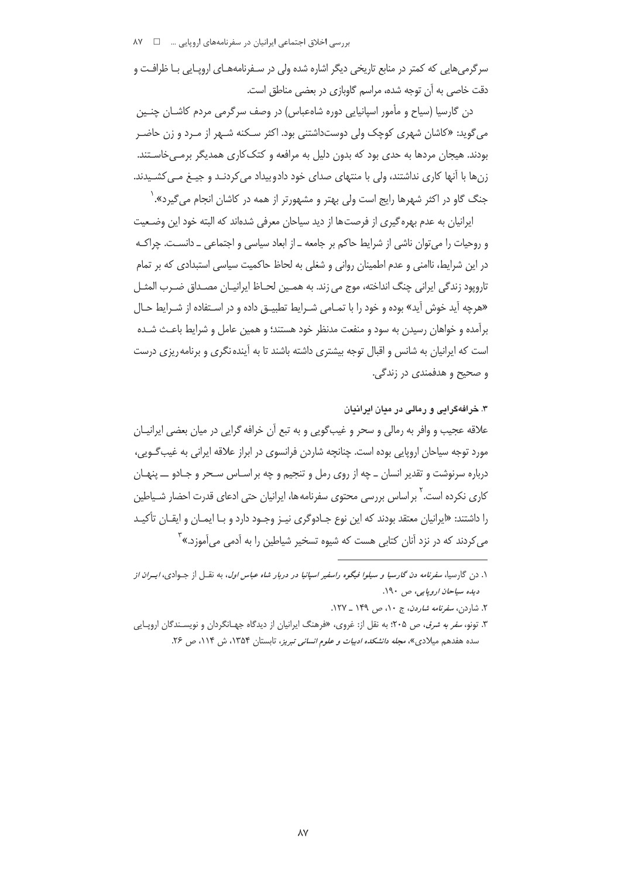سرگرمی هایی که کمتر در منابع تاریخی دیگر اشاره شده ولی در سـفرنامههـای اروپـایی بـا ظرافـت و دقت خاصی به آن توجه شده، مراسم گاوبازی در بعضی مناطق است.

دن گارسیا (سیاح و مأمور اسپانیایی دوره شاهعباس) در وصف سرگرمی مردم کاشــان چنــین می گوید: «کاشان شهری کوچک ولی دوستداشتنی بود. اکثر سـکنه شـهر از مـرد و زن حاضـر بودند. هیجان مردها به حدی بود که بدون دلیل به مرافعه و کتک کاری همدیگر برمـی خاسـتند. زنها با آنها کاری نداشتند، ولی با منتهای صدای خود دادوبیداد می کردنـد و جیـغ مـی کشـیدند. جنگ گاو در اکثر شهرها رایج است ولی بهتر و مشهورتر از همه در کاشان انجام می *گ*یرد». ٰ

ایرانیان به عدم بهره گیری از فرصتها از دید سیاحان معرفی شدهاند که البته خود این وضـعیت و روحیات را می توان ناشی از شرایط حاکم بر جامعه ـ از ابعاد سیاسی و اجتماعی ـ دانسـت. چراکـه در این شرایط، ناامنی و عدم اطمینان روانی و شغلی به لحاظ حاکمیت سیاسی استبدادی که بر تمام تاروپود زندگی ایرانی چنگ انداخته، موج می زند. به همـین لحـاظ ایرانیـان مصـداق ضـرب المثـل «هرچه آید خوش آید» بوده و خود را با تمـامی شـرایط تطبیـق داده و در اسـتفاده از شـرایط حـال برآمده و خواهان رسیدن به سود و منفعت مدنظر خود هستند؛ و همین عامل و شرایط باعـث شـده است که ایرانیان به شانس و اقبال توجه بیشتری داشته باشند تا به آینده نگری و برنامه ریزی درست و صحيح و هدفمندي در زندگي.

۳. خرافهگرایی و رمالی در میان ایرانیان

علاقه عجیب و وافر به رمالی و سحر و غیبگویی و به تبع آن خرافه گرایی در میان بعضی ایرانیـان مورد توجه سیاحان اروپایی بوده است. چنانچه شاردن فرانسوی در ابراز علاقه ایرانی به غیب *گ*ـویی، درباره سرنوشت و تقدير انسان ــ چه از روی رمل و تنجيم و چه بر اسـاس سـحر و جـادو ـــ پنهـان کاری نکرده است. <sup>۲</sup> بر اساس بررسی محتوی سفرنامهها، ایرانیان حتی ادعای قدرت احضار شـیاطین را داشتند: «ایرانیان معتقد بودند که این نوع جـادوگری نیـز وجـود دارد و بـا ایمـان و ایقـان تأکیـد می کردند که در نزد آنان کتابی هست که شیوه تسخیر شیاطین را به آدمی می آموزد.»<sup>۳</sup>

۱. دن گارسیا، *سفرنامه دن گارسیا و سیلوا فیگوه راسفیر اسپانیا در دربار شاه عباس اول*، به نقــل از جــوادی، *ایــران از* ديده سياحان اروپايي، ص ١٩٠.

۲. شاردن، *سفرنامه شاردن*، ج ۱۰، ص ۱۴۹ ـ ۱۲۷.

۳. تونو، *سفر به شرق*، ص ۲۰۵؛ به نقل از: غروی، «فرهنگ ایرانیان از دیدگاه جهـانگردان و نویسـندگان اروپـایی سده هفدهم میلادی»، *مجله دانشکده ادبیات و علوم انسانی تبریز*، تابستان ۱۳۵۴، ش ۱۱۴، ص ۲۶.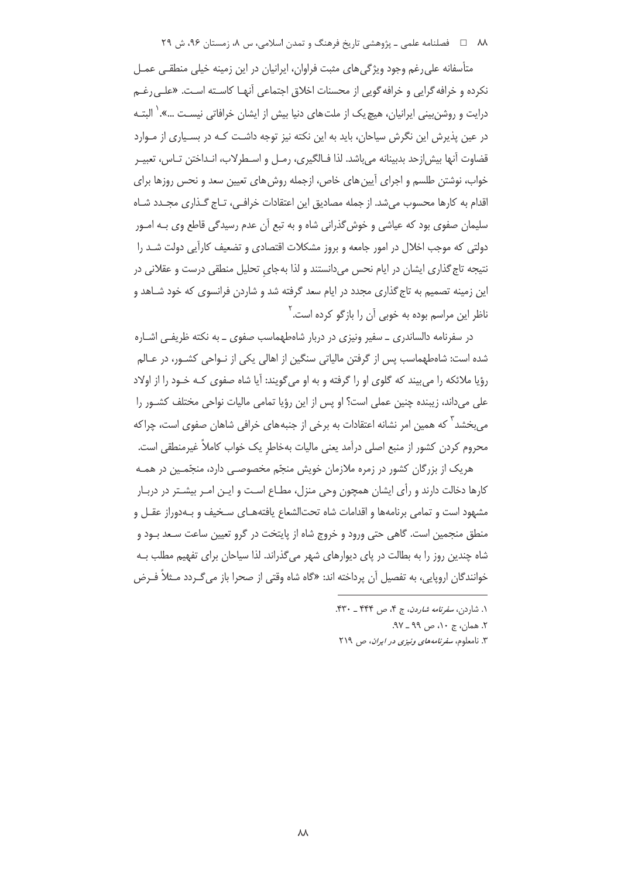M فصلنامه علمي ـ پژوهشي تاريخ فرهنگ و تمدن اسلامي، س ٨، زمستان ٩۶، ش ٢٩

متأسفانه علی رغم وجود ویژگی های مثبت فراوان، ایرانیان در این زمینه خیلی منطقـی عمـل نكرده و خرافه گرايي و خرافه گويي از محسنات اخلاق اجتماعي آنهـا كاسـته اسـت. «علـي رغـم درایت و روشن.بینی ایرانیان، هیچ یک از ملتهای دنیا بیش از ایشان خرافاتی نیسـت …».<sup>\</sup> البتـه در عین پذیرش این نگرش سیاحان، باید به این نکته نیز توجه داشت کـه در بسـیاری از مـوارد قضاوت آنها بيش|زحد بدبينانه مي!شد. لذا فـالگيري، رمـل و اسـطرلاب، انـداختن تـاس، تعبيـر خواب، نوشتن طلسم و اجرای آیین های خاص، ازجمله روش های تعیین سعد و نحس روزها برای اقدام به کارها محسوب می شد. از جمله مصادیق این اعتقادات خرافی، تـاج گـذاری مجـدد شـاه سلیمان صفوی بود که عیاشی و خوش گذرانی شاه و به تبع آن عدم رسیدگی قاطع وی بـه امـور دولتی که موجب اخلال در امور جامعه و بروز مشکلات اقتصادی و تضعیف کارآیی دولت شـد را نتیجه تاج گذاری ایشان در ایام نحس می دانستند و لذا به جای تحلیل منطقی درست و عقلانی در این زمینه تصمیم به تاج گذاری مجدد در ایام سعد گرفته شد و شاردن فرانسوی که خود شـاهد و ناظر این مراسم بوده به خوبی آن را بازگو کرده است.<sup>۲</sup>

در سفرنامه دالساندری ــ سفیر ونیزی در دربار شاهطهماسب صفوی ــ به نکته ظریفـی اشــاره شده است: شامطهماسب پس از گرفتن مالیاتی سنگین از اهالی یکی از نـواحی کشـور، در عـالم رؤیا ملائکه را میبیند که گلوی او را گرفته و به او میگویند: آیا شاه صفوی کـه خـود را از اولاد على مىداند، زيبنده چنين عملى است؟ او پس از اين رؤيا تمامى ماليات نواحي مختلف كشـور را م ،بخشد <sup>۳</sup> که همین امر نشانه اعتقادات به برخی از جنبههای خرافی شاهان صفوی است، چراکه محروم کردن کشور از منبع اصلی درآمد یعنی مالیات بهخاطر یک خواب کاملاً غیرمنطقی است.

هریک از بزرگان کشور در زمره ملازمان خویش منجّم مخصوصـی دارد، منجّمـین در همـه کارها دخالت دارند و رأی ایشان همچون وحی منزل، مطـاع اسـت و ایـن امـر بیشـتر در دربـار مشهود است و تمامی برنامهها و اقدامات شاه تحتالشعاع یافتههـای سـخیف و بـهدوراز عقـل و منطق منجمین است. گاهی حتی ورود و خروج شاه از پایتخت در گرو تعیین ساعت سـعد بـود و شاه چندین روز را به بطالت در پای دیوارهای شهر میگذراند. لذا سیاحان برای تفهیم مطلب بـه خوانندگان اروپایی، به تفصیل آن پرداخته اند: «گاه شاه وقتی از صحرا باز می *گ*ردد مـثلاً فـرض

۱. شاردن، *سفرنامه شاردن*، ج ۴، ص ۴۴۴ \_ ۴۳۰.

٢. همان، ج ١٠، ص ٩٩ ـ ٩٧.

۳. نامعلوم، *سفرنامههای ونیزی در ایران*، ص ۲۱۹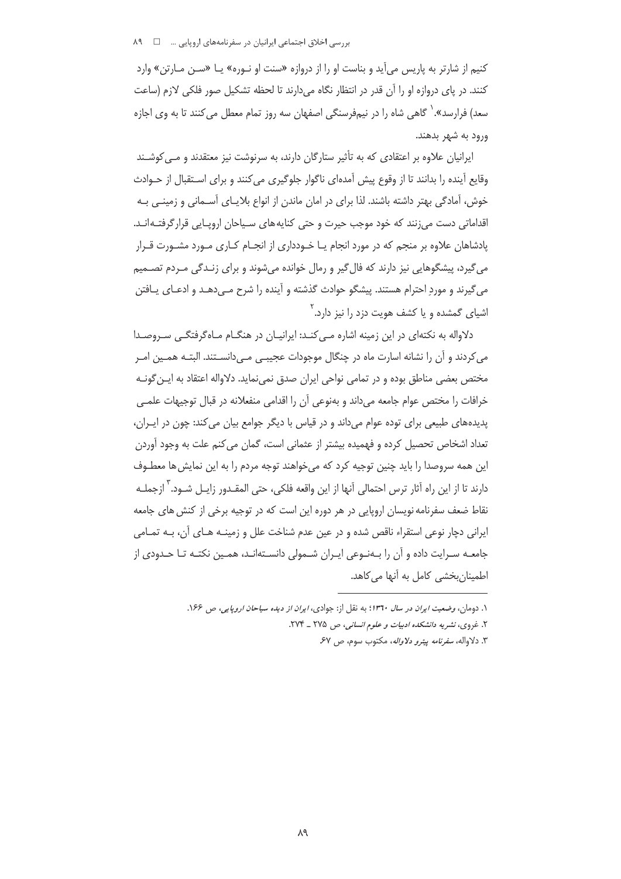کنیم از شارتر به پاریس می آید و بناست او را از دروازه «سنت او نـوره» یـا «سـن مـارتن» وارد كنند. در ياي دروازه او را آن قدر در انتظار نگاه مي دارند تا لحظه تشكيل صور فلكي لازم (ساعت سعد) فرارسد». <sup>(</sup> گاهی شاه را در نیمفرسنگی اصفهان سه روز تمام معطل میکنند تا به وی اجازه ورود به شهر بدهند.

ایرانیان علاوه بر اعتقادی که به تأثیر ستارگان دارند، به سرنوشت نیز معتقدند و مے کوشـند وقايع آينده را بدانند تا از وقوع پيش آمدهاي ناگوار جلوگيري مي كنند و براي اسـتقبال از حـوادث خوش، آمادگی بهتر داشته باشند. لذا برای در امان ماندن از انواع بلایـای آســمانی و زمینــی بــه اقداماتی دست می;نند که خود موجب حیرت و حتی کنایههای سـیاحان اروپـایی قرارگرفتـه|نـد. یادشاهان علاوه بر منجم که در مورد انجام یـا خـودداری از انجــام کــاری مـورد مشـورت قــرار میگیرد، پیشگوهایی نیز دارند که فال£یر و رمال خوانده میشوند و برای زنـدگی مـردم تصــمیم می گیرند و مورد احترام هستند. پیشگو حوادث گذشته و آینده را شرح مـی دهـد و ادعـای پـافتن اشبای گمشده و یا کشف هویت دزد را نیز دارد.<sup>۲</sup>

دلاواله به نکتهای در این زمینه اشاره می کنـد: ایرانیـان در هنگـام مـاهگرفتگـی سـروصـدا می کردند و آن را نشانه اسارت ماه در چنگال موجودات عجیبی می دانسـتند. البتـه همـین امـر مختص بعضی مناطق بوده و در تمامی نواحی ایران صدق نمی،نماید. دلاواله اعتقاد به ایـن گونــه خرافات را مختص عوام جامعه می داند و بهنوعی آن را اقدامی منفعلانه در قبال توجیهات علمـی پدیدههای طبیعی برای توده عوام میداند و در قیاس با دیگر جوامع بیان می کند: چون در ایـران، تعداد اشخاص تحصیل کرده و فهمیده بیشتر از عثمانی است، گمان می کنم علت به وجود آوردن این همه سروصدا را باید چنین توجیه کرد که می خواهند توجه مردم را به این نمایش ها معطـوف دارند تا از این راه آثار ترس احتمالی آنها از این واقعه فلکی، حتی المقـدور زایــل شــود. <sup>۳</sup> ازجملــه نقاط ضعف سفرنامه نویسان اروپایی در هر دوره این است که در توجیه برخی از کنش های جامعه ايراني دچار نوعي استقراء ناقص شده و در عين عدم شناخت علل و زمينـه هـاي آن، بـه تمـامي جامعـه سـرايت داده و آن را بـهنـوعي ايـران شـمولي دانسـتهانـد، همـين نكتـه تـا حـدودي از اطمینانبخشی کامل به آنها میکاهد.

١. دومان، وضعیت ایران در سال ١٣٦٠؛ به نقل از: جوادي، *ایران از دیده سیاحان اروپایی، ص* ١۶۶. ۲. غروی، نشیر به دانشک*نده ادبیات و علوم انسانی،* ص ۲۷۵ \_ ۲۷۴. ۳. دلاواله، *سفرنامه ييترو دلاواله*، مكتوب سوم، ص ۶۷.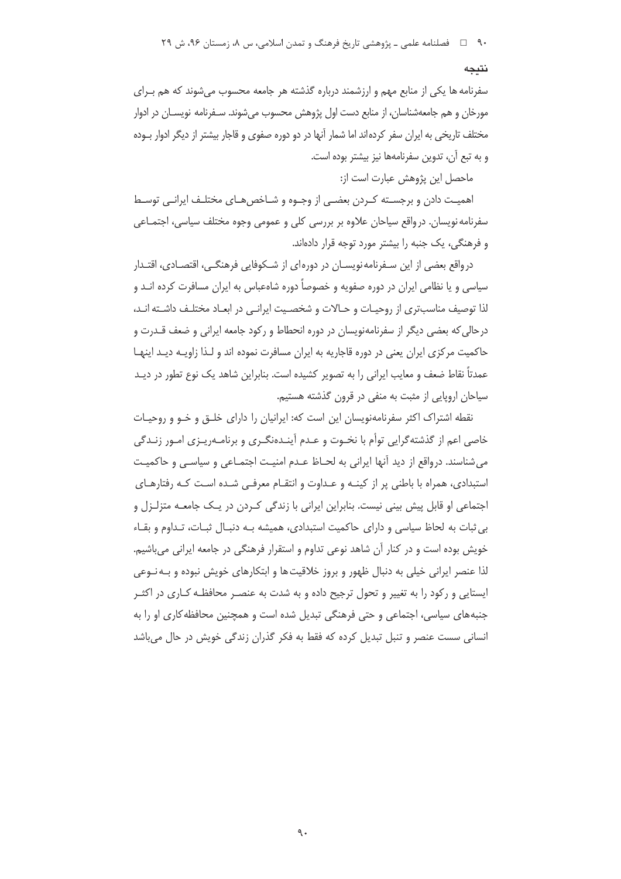#### نتىجە

سفرنامه ها یکی از منابع مهم و ارزشمند درباره گذشته هر جامعه محسوب می شوند که هم بـرای مورخان و هم جامعهشناسان، از منابع دست اول پژوهش محسوب می شوند. سـفرنامه نویســان در ادوار مختلف تاریخی به ایران سفر کردهاند اما شمار آنها در دو دوره صفوی و قاجار بیشتر از دیگر ادوار بـوده و به تبع آن، تدوین سفرنامهها نیز بیشتر بوده است.

ماحصل این پژوهش عبارت است از:

اهميـت دادن و برجسـته كــردن بعضــي از وجــوه و شــاخص هــاي مختلــف ايرانــي توســط سفرنامه نویسان. درواقع سیاحان علاوه بر بررسی کلی و عمومی وجوه مختلف سیاسی، اجتمـاعی و فرهنگی، یک جنبه را بیشتر مورد توجه قرار دادهاند.

درواقع بعضی از این سـفرنامه نویســان در دورهای از شــکوفایی فرهنگــی، اقتصــادی، اقتــدار سیاسی و یا نظامی ایران در دوره صفویه و خصوصاً دوره شاهعباس به ایران مسافرت کرده انـد و لذا توصيف مناسبتري از روحيـات و حـالات و شخصـيت ايرانـي در ابعـاد مختلـف داشـته انـد، درحالی که بعضی دیگر از سفرنامهنویسان در دوره انحطاط و رکود جامعه ایرانی و ضعف قــدرت و حاکمیت مرکزی ایران یعنی در دوره قاجاریه به ایران مسافرت نموده اند و لـذا زاویـه دیـد اینهـا عمدتاً نقاط ضعف و معایب ایرانی را به تصویر کشیده است. بنابراین شاهد یک نوع تطور در دیـد سیاحان اروپایی از مثبت به منفی در قرون گذشته هستیم.

نقطه اشتراک اکثر سفرنامهنویسان این است که: ایرانیان را دارای خلـق و خـو و روحیـات خاصي اعم از گذشته گرايي توأم با نخـوت و عـدم آينـدهنگـري و برنامـهريـزي امـور زنـدگي می شناسند. درواقع از دید آنها ایرانی به لحـاظ عـدم امنیـت اجتمـاعی و سیاسـی و حاکمیـت استبدادی، همراه با باطنی پر از کینه و عداوت و انتقام معرفی شده است که رفتارهای اجتماعی او قابل پیش بینی نیست. بنابراین ایرانی با زندگی کـردن در یـک جامعـه متزلـزل و بي ثبات به لحاظ سياسي و داراي حاكميت استبدادي، هميشه بـه دنبـال ثبـات، تـداوم و بقـاء خویش بوده است و در کنار آن شاهد نوعی تداوم و استقرار فرهنگی در جامعه ایرانی میباشیم. لذا عنصر ایرانی خیلی به دنبال ظهور و بروز خلاقیت ها و ابتکارهای خویش نبوده و بـه نــوعی ایستایی و رکود را به تغییر و تحول ترجیح داده و به شدت به عنصـر محافظـه کـاری در اکثـر جنبههای سیاسی، اجتماعی و حتی فرهنگی تبدیل شده است و همچنین محافظه کاری او را به انسانی سست عنصر و تنبل تبدیل کرده که فقط به فکر گذران زندگی خویش در حال می باشد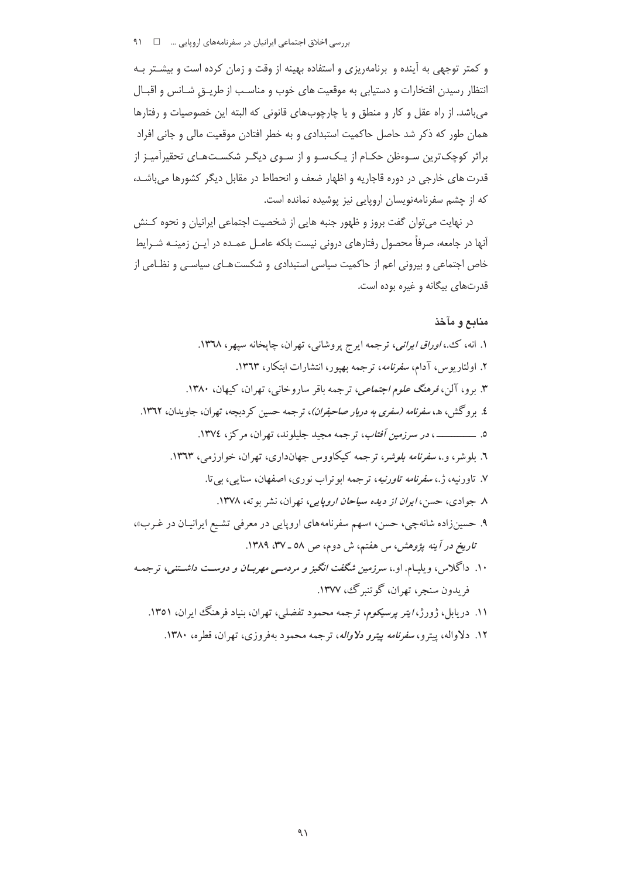و کمتر توجهی به آینده و برنامهریزی و استفاده بهینه از وقت و زمان کرده است و بیشـتر بـه انتظار رسیدن افتخارات و دستیابی به موقعیت های خوب و مناسب از طریــق شـانس و اقبـال می باشد. از راه عقل و کار و منطق و یا چارچوبهای قانونی که البته این خصوصیات و رفتارها همان طور که ذکر شد حاصل حاکمیت استبدادی و به خطر افتادن موقعیت مالی و جانی افراد براثر کوچک ترین سـوءظن حکـام از یـکسـو و از سـوی دیگـر شکسـتهـای تحقیرآمیـز از قدرت های خارجی در دوره قاجاریه و اظهار ضعف و انحطاط در مقابل دیگر کشورها می باشد، که از چشم سفرنامهنویسان اروپایی نیز پوشیده نمانده است.

در نهایت می توان گفت بروز و ظهور جنبه هایی از شخصیت اجتماعی ایرانیان و نحوه کـنش آنها در جامعه، صرفاً محصول رفتارهای درونی نیست بلکه عامـل عمـده در ایـن زمینـه شـرایط خاص اجتماعی و بیرونی اعم از حاکمیت سیاسی استبدادی و شکست هـای سیاسـی و نظـامی از قدرتهای بیگانه و غیره بوده است.

## منابع و مآخذ

۱۲. دلاواله، پیترو، *سفرنامه پیترو دلاواله*، ترجمه محمود بهفروزی، تهران، قطره، ۱۳۸۰.